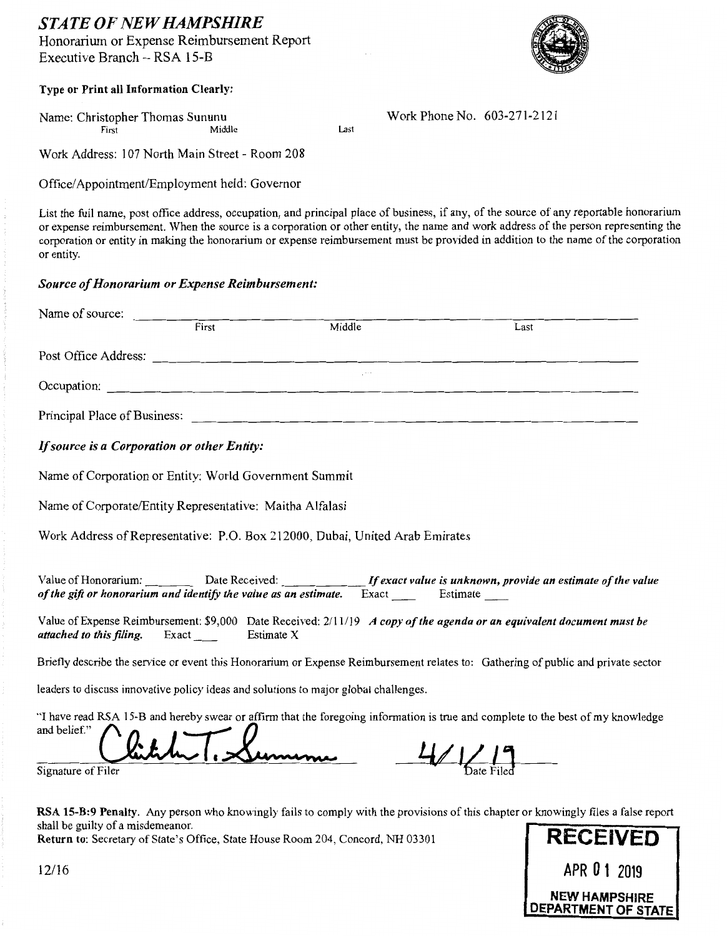# *STATE OF NEW HAMPSHIRE*

Honorarium or Expense Reimbursement Report Executive Branch- RSA 15-B



### Type or Print all Information Clearly:

Name: Christopher Thomas Sununu<br>First Middle Mork Phone No. 603-271-2121 First Last

Work Address: 107 North Main Street- Room 208

Office/Appointment/Employment held: Governor

List the full name, post office address, occupation, and principal place of business, if any, of the source of any reportable honorarium or expense reimbursement. When the source is a corporation or other entity, the name and work address of the person representing the corporation or entity in making the honorarium or expense reimbursement must be provided in addition to the name of the corporation or entity.

### *Source of Honorarium or Expense Reimbursement:*

| Name of source:                                          |             |                                                                                      |                                                                                                                                   |
|----------------------------------------------------------|-------------|--------------------------------------------------------------------------------------|-----------------------------------------------------------------------------------------------------------------------------------|
|                                                          | First First | Middle                                                                               | Last                                                                                                                              |
|                                                          |             |                                                                                      |                                                                                                                                   |
|                                                          |             | Occupation:                                                                          |                                                                                                                                   |
|                                                          |             |                                                                                      |                                                                                                                                   |
| If source is a Corporation or other Entity:              |             |                                                                                      |                                                                                                                                   |
| Name of Corporation or Entity: World Government Summit   |             |                                                                                      |                                                                                                                                   |
| Name of Corporate/Entity Representative: Maitha Alfalasi |             |                                                                                      |                                                                                                                                   |
|                                                          |             | Work Address of Representative: P.O. Box 212000, Dubai, United Arab Emirates         |                                                                                                                                   |
|                                                          |             |                                                                                      | Value of Honorarium: Date Received: If exact value is unknown, provide an estimate of the value                                   |
| <i>attached to this filing.</i> Exact Estimate X         |             |                                                                                      | Value of Expense Reimbursement: \$9,000 Date Received: 2/11/19 A copy of the agenda or an equivalent document must be             |
|                                                          |             |                                                                                      | Briefly describe the service or event this Honorarium or Expense Reimbursement relates to: Gathering of public and private sector |
|                                                          |             | leaders to discuss innovative policy ideas and solutions to major global challenges. |                                                                                                                                   |

"I have read RSA 15-B and hereby swear or affirm that the foregoing information is true and complete to the best of my knowledge leaders to discuss innovative policy ideas and so<br>"I have read RSA 15-B and hereby swear or affixiand belief."<br>and belief."<br> $\begin{array}{ccc} \bullet & \bullet & \bullet \\ \bullet & \bullet & \bullet & \bullet \end{array}$ Signature of Filer **Children** 1. Summer 1. 11/ 12

RSA 15-B:9 Penalty. Any person who knowingly fails to comply with the provisions of this chapter or knowingly files a false report shall be guilty of a misdemeanor.

Return to: Secretary of State's Office, State House Room 204, Concord, NH 03301 **RECEIVED** 

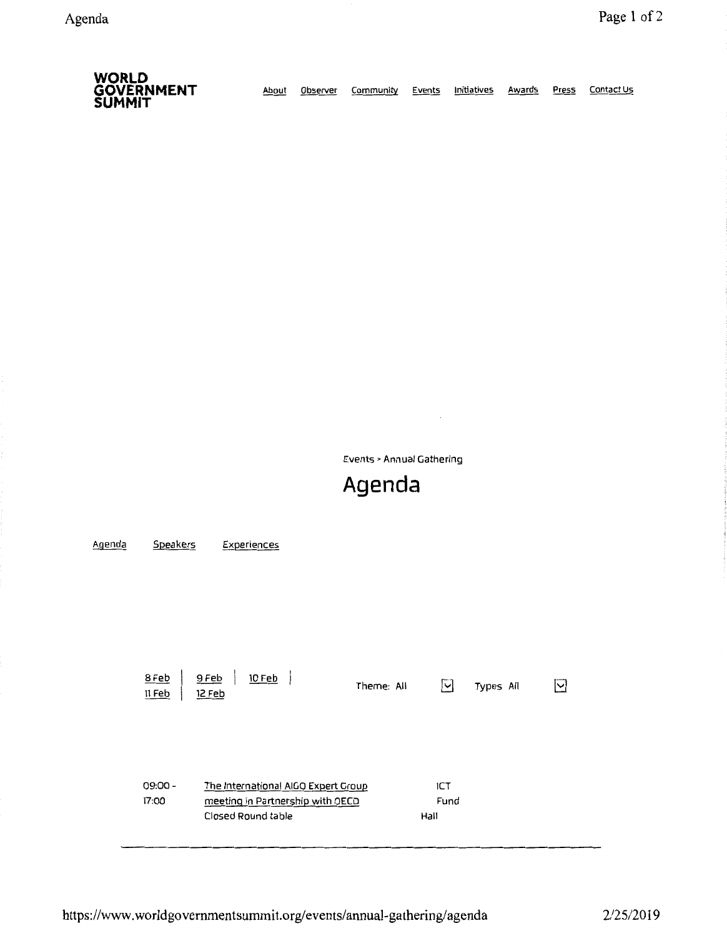| <b>WORLD</b><br><b>GOVERNMENT</b><br><b>SUMMIT</b> | About | Observer | Community | Events | Initiatives | Awards | Press | Contact Us |
|----------------------------------------------------|-------|----------|-----------|--------|-------------|--------|-------|------------|
|----------------------------------------------------|-------|----------|-----------|--------|-------------|--------|-------|------------|

Events> Annual Gathering

 $\overline{\phantom{a}}$ 

# **Agenda**

| Agenda | Speakers                             | Experiences                                                                                   |            |                     |           |  |
|--------|--------------------------------------|-----------------------------------------------------------------------------------------------|------------|---------------------|-----------|--|
|        | 9 Feb<br>8 Feb<br>12 Feb<br>$11$ Feb | 10 Feb                                                                                        | Theme: All | ⊡                   | Types All |  |
|        | $09:00 -$<br>17:00                   | The International AIGO Expert Group<br>meeting in Partnership with OECD<br>Closed Round table |            | ICT<br>Fund<br>Hall |           |  |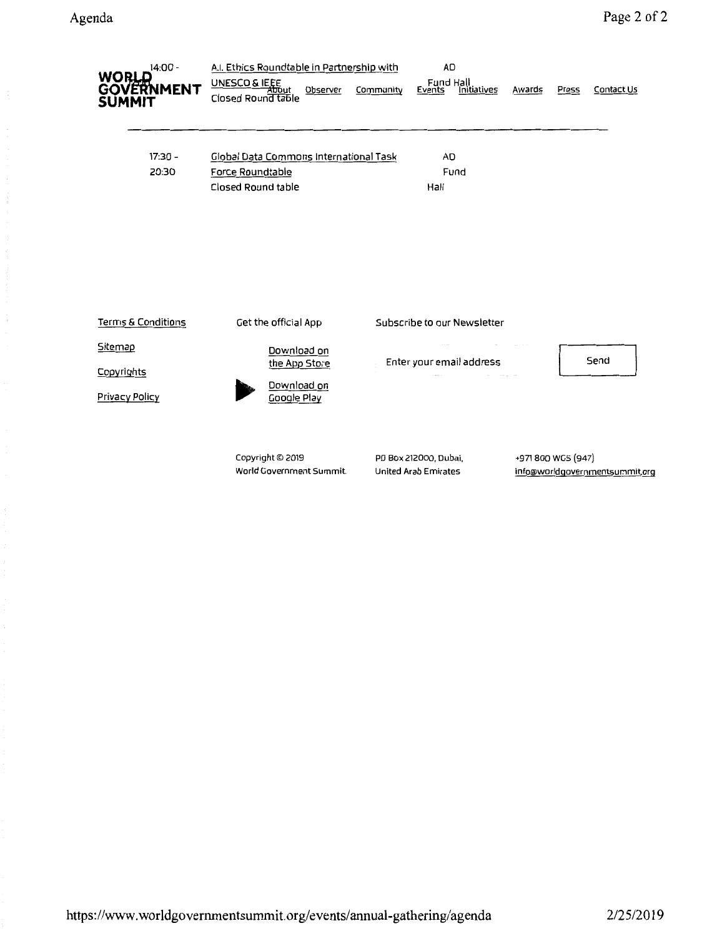| $14:00 -$<br>WORLD<br>GOVERNMENT<br><b>SUMMIT</b> | A.I. Ethics Roundtable in Partnership with<br>UNESCO & IEEE<br>Observer<br>Closed Round table | <b>AD</b><br>Fund Hall<br>Community<br><b>Initiatives</b><br>Events | Contact Us<br>Awards<br>Press                       |
|---------------------------------------------------|-----------------------------------------------------------------------------------------------|---------------------------------------------------------------------|-----------------------------------------------------|
| 17:30 -<br>20:30                                  | Global Data Commons International Task<br>Force Roundtable<br>Closed Round table              | <b>AD</b><br>Fund<br>Hall                                           |                                                     |
| <b>Terms &amp; Conditions</b>                     | Get the official App                                                                          | Subscribe to our Newsletter                                         |                                                     |
| Sitemap<br>Copyrights<br><b>Privacy Policy</b>    | Download on<br>the App Store<br>Download on<br>Google Play                                    | Enter your email address                                            | Send                                                |
|                                                   | Copyright © 2019<br>World Government Summit.                                                  | PO Box 212000, Dubai,<br><b>United Arab Emirates</b>                | +971800 WGS (947)<br>info@worldgovernmentsummit.org |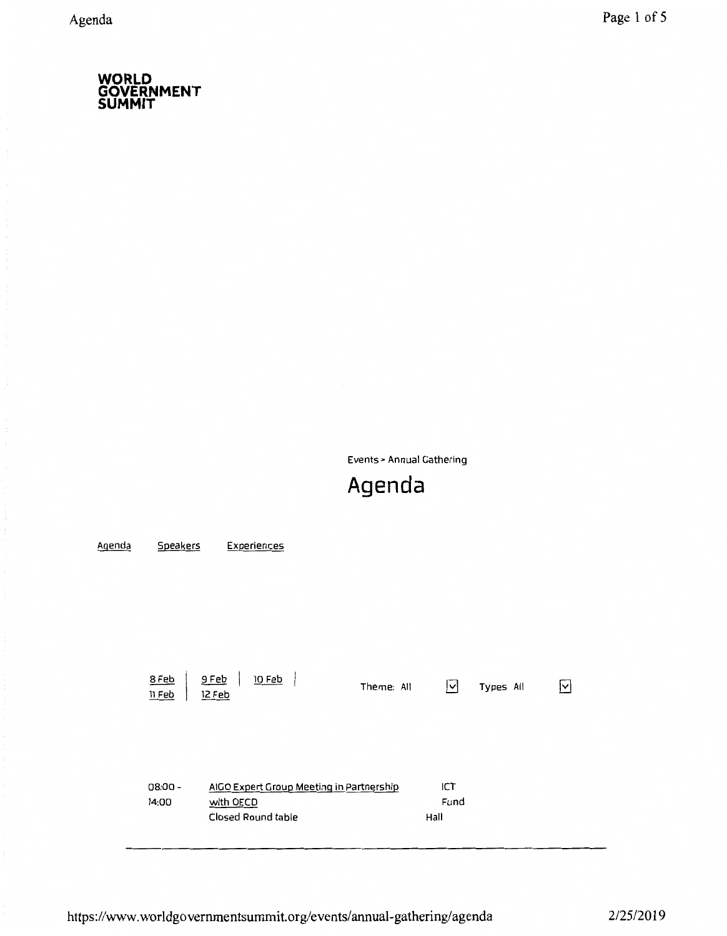Events> Annual Gathering

# **Agenda**

| Agenda | Speakers           | Experiences                                                                 |            |                     |           |    |
|--------|--------------------|-----------------------------------------------------------------------------|------------|---------------------|-----------|----|
|        | 8 Feb<br>$11$ Feb  | <u>10 Feb</u><br>$9$ Feb<br>12 Feb                                          | Theme: All | ⊡                   | Types All | IЧ |
|        | $08:00 -$<br>14:00 | AIGO Expert Group Meeting in Partnership<br>with OECD<br>Closed Round table |            | ICT<br>Fund<br>Hall |           |    |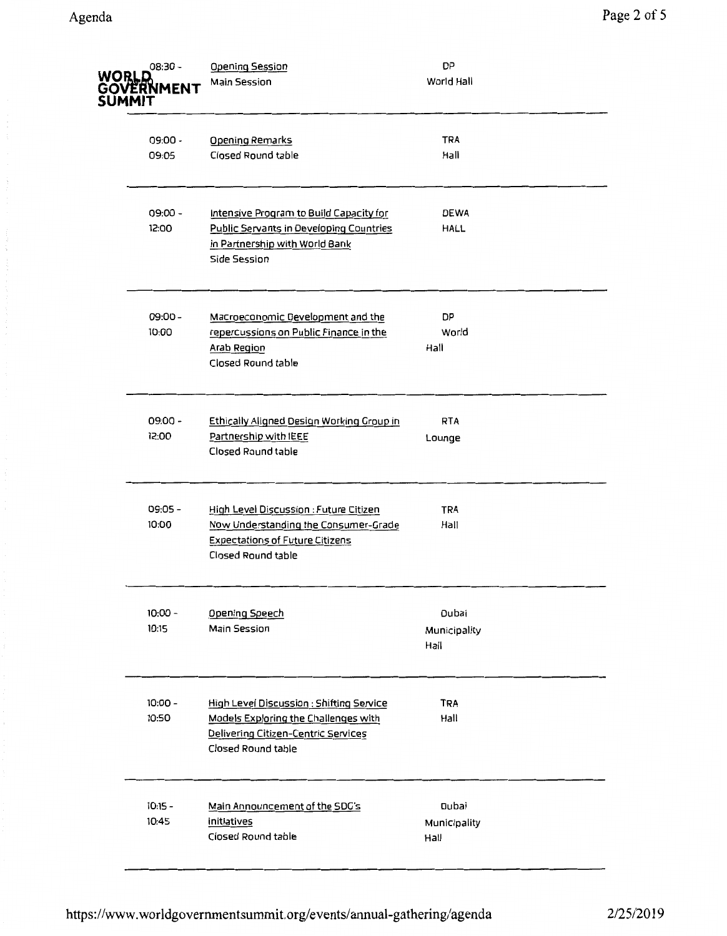| WORLD<br><b>SUMMIT</b> | 08:30 -<br>GOVERNMENT | <b>Opening Session</b><br><b>Main Session</b>                                                                                                               | <b>DP</b><br>World Hall       |
|------------------------|-----------------------|-------------------------------------------------------------------------------------------------------------------------------------------------------------|-------------------------------|
|                        | $09:00 -$<br>09:05    | <b>Opening Remarks</b><br>Closed Round table                                                                                                                | <b>TRA</b><br>Hall            |
|                        | $09:00 -$<br>12:00    | Intensive Program to Build Capacity for<br>Public Servants in Developing Countries<br>in Partnership with World Bank<br>Side Session                        | <b>DEWA</b><br>HALL           |
|                        | $09:00 -$<br>10:00    | Macroeconomic Development and the<br>repercussions on Public Finance in the<br><b>Arab Region</b><br>Closed Round table                                     | DP<br>World<br>Hall           |
|                        | $09:00 -$<br>12:00    | Ethically Aligned Design Working Group in<br>Partnership with IEEE<br>Closed Round table                                                                    | <b>RTA</b><br>Lounge          |
|                        | 09:05 -<br>10:00      | High Level Discussion : Future Citizen<br>Now Understanding the Consumer-Grade<br><b>Expectations of Future Citizens</b><br>Closed Round table              | <b>TRA</b><br>Hall            |
|                        | $10:00 -$<br>10:15    | <b>Opening Speech</b><br>Main Session                                                                                                                       | Dubai<br>Municipality<br>Hall |
|                        | $10:00 -$<br>10:50    | <b>High Level Discussion : Shifting Service</b><br>Models Exploring the Challenges with<br><b>Delivering Citizen-Centric Services</b><br>Closed Round table | <b>TRA</b><br>Hall            |
|                        | $10:15 -$<br>10:45    | Main Announcement of the SDG's<br>initiatives<br>Closed Round table                                                                                         | Dubai<br>Municipality<br>Hall |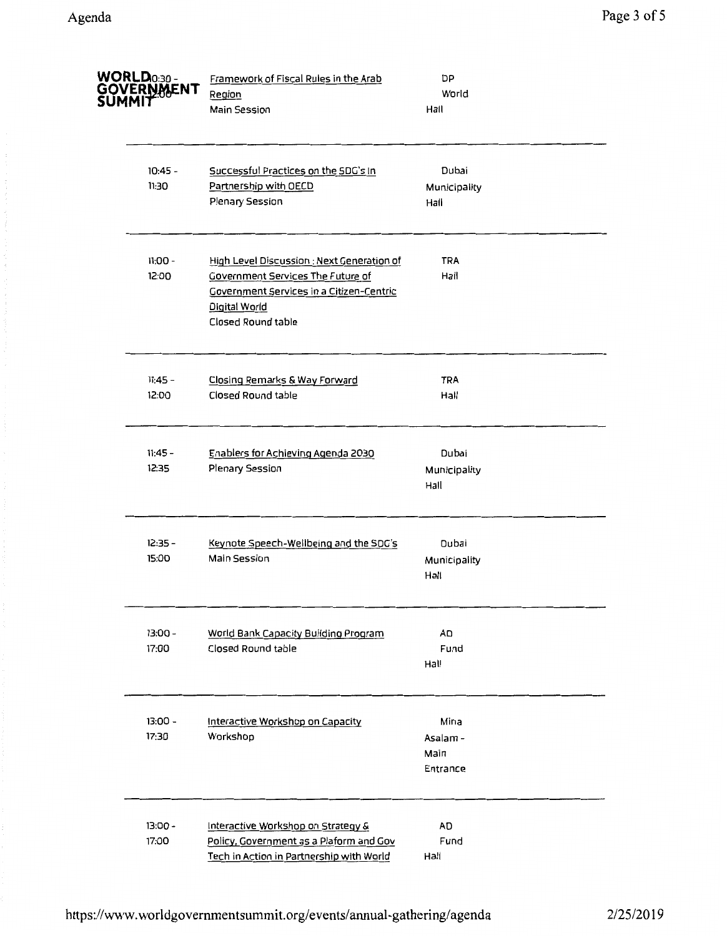| WORLD0:30-<br>GÖVERNMENT<br>SUMMIT | Framework of Fiscal Rules in the Arab<br>Region<br>Main Session                                                                                                                  | DP<br>World<br>Hall                  |  |
|------------------------------------|----------------------------------------------------------------------------------------------------------------------------------------------------------------------------------|--------------------------------------|--|
| $10:45 -$<br>11:30                 | Successful Practices on the SDG's In<br>Partnership with OECD<br>Plenary Session                                                                                                 | Dubai<br>Municipality<br>Hall        |  |
| $11:00 -$<br>12:00                 | High Level Discussion : Next Generation of<br><b>Covernment Services The Future of</b><br>Government Services in a Citizen-Centric<br>Digital World<br><b>Closed Round table</b> | TRA<br>Hall                          |  |
| $11:45 -$<br>12:00                 | Closing Remarks & Way Forward<br>Closed Round table                                                                                                                              | <b>TRA</b><br>Hall                   |  |
| 11:45 -<br>12:35                   | Enablers for Achieving Agenda 2030<br>Plenary Session                                                                                                                            | Dubai<br>Municipality<br>Hall        |  |
| $12:35 -$<br>15:00                 | Keynote Speech-Wellbeing and the SDG's<br>Main Session                                                                                                                           | Dubai<br>Municipality<br>Hall        |  |
| $13:00 -$<br>17:00                 | World Bank Capacity Building Program<br>Closed Round table                                                                                                                       | <b>AD</b><br>Fund<br>Hall            |  |
| $13:00 -$<br>17:30                 | Interactive Workshop on Capacity<br>Workshop                                                                                                                                     | Mina<br>Asalam -<br>Main<br>Entrance |  |
| $13:00 -$<br>17:00                 | Interactive Workshop on Strategy &<br>Policy, Government as a Plaform and Gov<br>Tech in Action in Partnership with World                                                        | AD<br>Fund<br>Hall                   |  |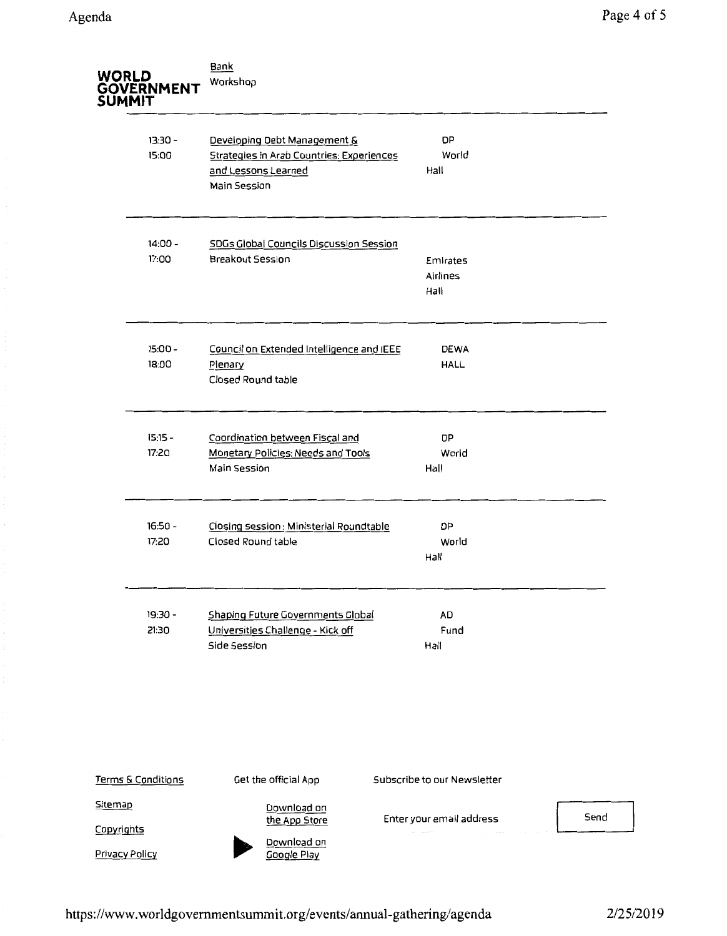| <b>WORLD</b>          | GOVERNMENT<br>SUMMIT  | Bank<br>Workshop                                                                                                        |                              |      |
|-----------------------|-----------------------|-------------------------------------------------------------------------------------------------------------------------|------------------------------|------|
|                       | $13:30 -$<br>15:00    | Developing Debt Management &<br><b>Strategies in Arab Countries: Experiences</b><br>and Lessons Learned<br>Main Session | <b>DP</b><br>World<br>Hall   |      |
|                       | $14:00 -$<br>17:00    | SDGs Global Councils Discussion Session<br>Breakout Session                                                             | Emirates<br>Airlines<br>Hall |      |
|                       | $15:00 -$<br>18:00    | Council on Extended Intelligence and IEEE<br>Plenary<br>Closed Round table                                              | <b>DEWA</b><br><b>HALL</b>   |      |
|                       | $15:15 -$<br>17:20    | Coordination between Fiscal and<br>Monetary Policies: Needs and Tools<br>Main Session                                   | <b>DP</b><br>World<br>Hall   |      |
|                       | $16:50 -$<br>17:20    | Closing session : Ministerial Roundtable<br>Closed Round table                                                          | DP<br>World<br>Hall          |      |
|                       | 19:30 -<br>21:30      | Shaping Future Governments Global<br>Universities Challenge - Kick off<br>Side Session                                  | AD<br>Fund<br>Hall           |      |
|                       | Terms & Conditions    | Get the official App                                                                                                    | Subscribe to our Newsletter  |      |
| Sitemap<br>Copyrights |                       | Download on<br>the App Store                                                                                            | Enter your email address     | Send |
|                       | <b>Privacy Policy</b> | Download on<br><b>Google Play</b>                                                                                       |                              |      |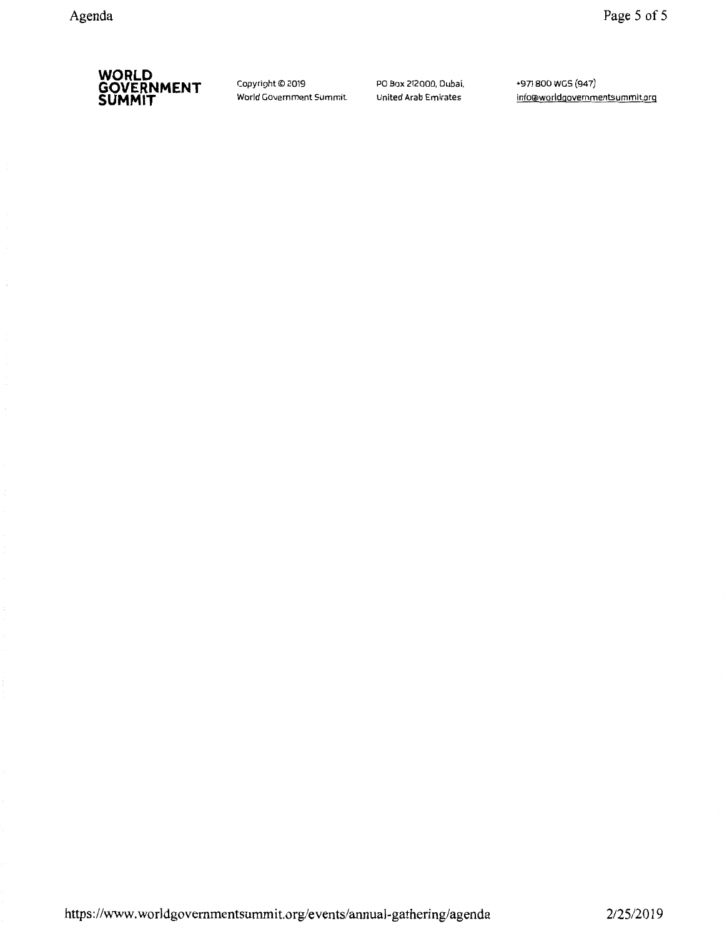

Copyright© 2019 World Government Summit PO Box 212000, Oubai, United Arab Emirates

+971 800 WGS (947) info@worldgovernmentsummit.org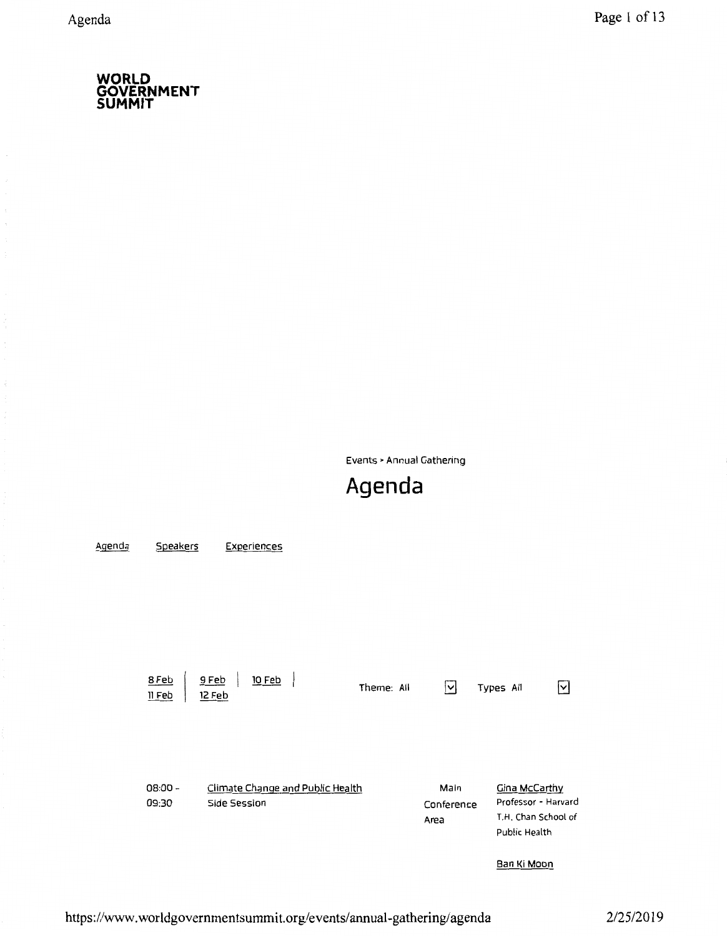Events> Annual Gathering

# **Agenda**

<u>Agenda</u> **Speakers** Experiences <u>10 Feb</u> 8 Feb <u>9 Feb</u>  $\overline{\mathbf{y}}$  $\overline{\mathsf{S}}$ Theme: All Types All <u>II Feb</u> 12 Feb 08:00- Climate Change and Public Health Main Gina McCarthy Conference Professor - Harvard 09:30 Side Session Area T.H. Chan School of Public Health Ban Ki Moon

https://www.worldgovernmentsummit.org/events/annual-gathering/agenda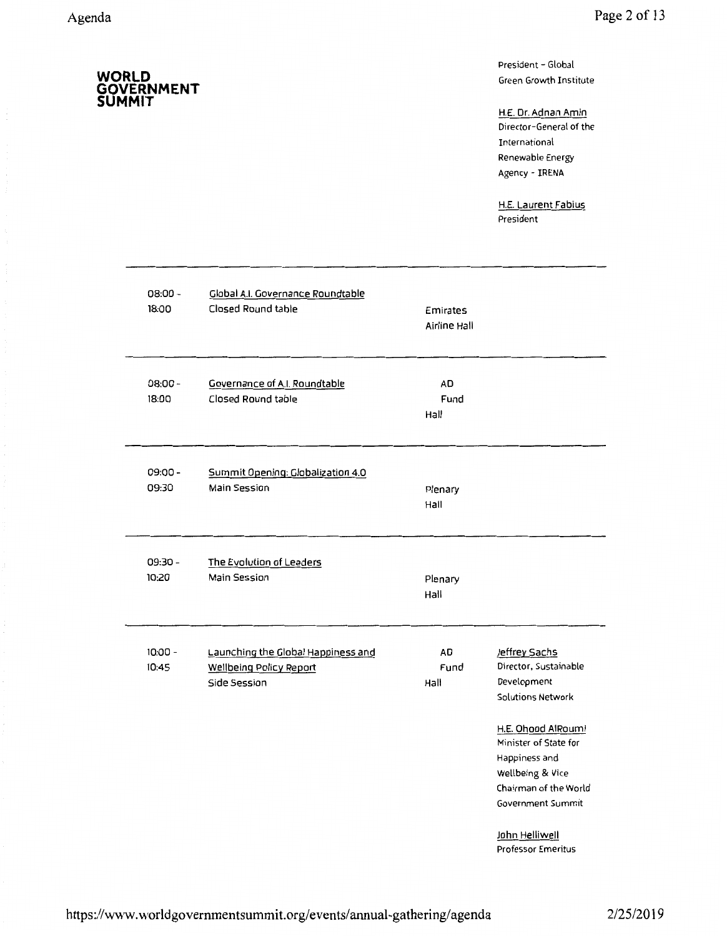**SUMMIT** 

**GOVERNMENT** 

President- Global Green Growth Institute

H.E. Dr. Adnan Amin Director-General of the International Renewable Energy Agency - IRENA

H.E. Laurent Fabius President

| $08:00 -$          | Global A.I. Governance Roundtable                                                    | Emirates           |                                                                                                                                                                                                                                       |
|--------------------|--------------------------------------------------------------------------------------|--------------------|---------------------------------------------------------------------------------------------------------------------------------------------------------------------------------------------------------------------------------------|
| 18:00              | Closed Round table                                                                   | Airline Hall       |                                                                                                                                                                                                                                       |
| $08:00 -$<br>18:00 | Governance of A.I. Roundtable<br>Closed Round table                                  | AD<br>Fund<br>Hall |                                                                                                                                                                                                                                       |
| 09:00 -            | Summit Opening: Globalization 4.0                                                    | Plenary            |                                                                                                                                                                                                                                       |
| 09:30              | <b>Main Session</b>                                                                  | Hall               |                                                                                                                                                                                                                                       |
| 09:30 -            | The Evolution of Leaders                                                             | Plenary            |                                                                                                                                                                                                                                       |
| 10:20              | Main Session                                                                         | Hall               |                                                                                                                                                                                                                                       |
| $10:00 -$<br>10:45 | Launching the Global Happiness and<br><b>Wellbeing Policy Report</b><br>Side Session | AD<br>Fund<br>Hall | Jeffrey Sachs<br>Director, Sustainable<br>Development<br>Solutions Network<br>H.E. Ohood AlRoumi<br>Minister of State for<br>Happiness and<br>Wellbeing & Vice<br>Chairman of the World<br><b>Government Summit</b><br>John Helliwell |
|                    |                                                                                      |                    | <b>Professor Emeritus</b>                                                                                                                                                                                                             |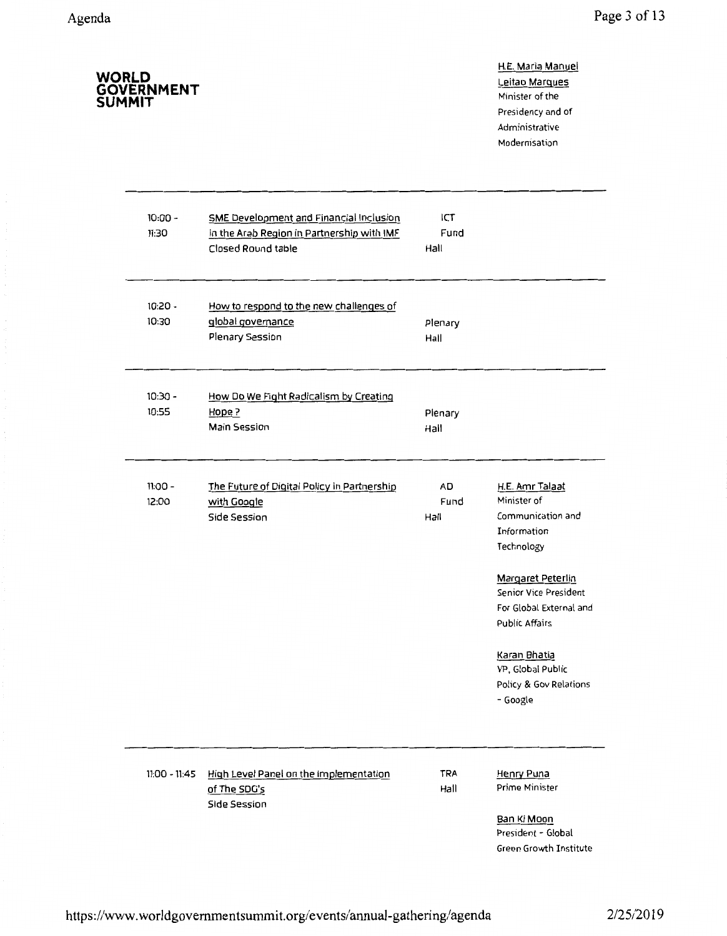H.E. Maria Manuel

| WORLD<br><b>GOVERNMENT</b><br><b>SUMMIT</b> |                                                                                                                    |                     | Leitao Marques<br>Minister of the<br>Presidency and of<br>Administrative<br>Modernisation      |
|---------------------------------------------|--------------------------------------------------------------------------------------------------------------------|---------------------|------------------------------------------------------------------------------------------------|
| $10:00 -$<br>11:30                          | <b>SME Development and Financial Inclusion</b><br>in the Arab Region in Partnership with IMF<br>Closed Round table | ICT<br>Fund<br>Hall |                                                                                                |
| $10:20 -$<br>10:30                          | How to respond to the new challenges of<br>global governance<br>Plenary Session                                    | Plenary<br>Hall     |                                                                                                |
| $10:30 -$<br>10:55                          | How Do We Fight Radicalism by Creating<br>Hope ?<br>Main Session                                                   | Plenary<br>Hall     |                                                                                                |
| $11:00 -$<br>12:00                          | The Future of Digital Policy in Partnership<br>with Google<br>Side Session                                         | AD<br>Fund<br>Hall  | H.E. Amr Talaat<br>Minister of<br>Communication and<br>Information<br>Technology               |
|                                             |                                                                                                                    |                     | Margaret Peterlin<br>Senior Vice President<br>For Global External and<br><b>Public Affairs</b> |
|                                             |                                                                                                                    |                     | Karan Bhatia<br>VP, Global Public<br>Policy & Gov Relations<br>- Google                        |
| $11:00 - 11:45$                             | High Level Panel on the Implementation<br>of The SDG's<br>Side Session                                             | TRA<br>Hall         | Henry Puna<br>Prime Minister                                                                   |
|                                             |                                                                                                                    |                     | Ban Ki Moon<br>President - Global<br>Green Growth Institute                                    |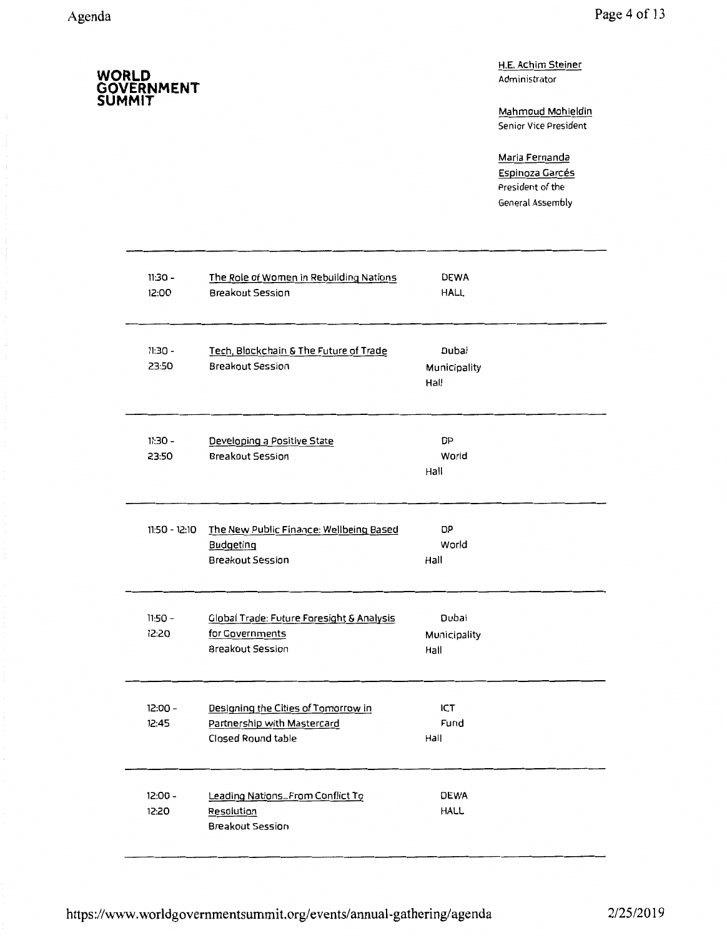**SUMMIT** 

**GOVERNMENT** 

H.E. Achim Steiner Administrator

Mahmoud Mohieldin Senior Vice President

Maria Fernanda Espinoza Garcés President of the General Assembly

| $11:30 -$<br>12:00 | The Role of Women in Rebuilding Nations<br>Breakout Session                              | <b>DEWA</b><br><b>HALL</b>    |  |
|--------------------|------------------------------------------------------------------------------------------|-------------------------------|--|
| $11:30 -$<br>23:50 | Tech, Blockchain & The Future of Trade<br>Breakout Session                               | Dubai<br>Municipality<br>Hall |  |
| $11:30 -$<br>23:50 | Developing a Positive State<br><b>Breakout Session</b>                                   | DP<br>World<br>Hall           |  |
| 11:50 - 12:10      | The New Public Finance: Wellbeing Based<br>Budgeting<br>Breakout Session                 | DP<br>World<br>Hall           |  |
| $11:50 -$<br>12:20 | Global Trade: Future Foresight & Analysis<br>for Governments<br><b>Breakout Session</b>  | Dubai<br>Municipality<br>Hall |  |
| $12:00 -$<br>12:45 | Designing the Cities of Tomorrow in<br>Partnership with Mastercard<br>Closed Round table | ICT<br>Fund<br>Hall           |  |
| $12:00 -$<br>12:20 | Leading NationsFrom Conflict To<br>Resolution<br><b>Breakout Session</b>                 | <b>DEWA</b><br><b>HALL</b>    |  |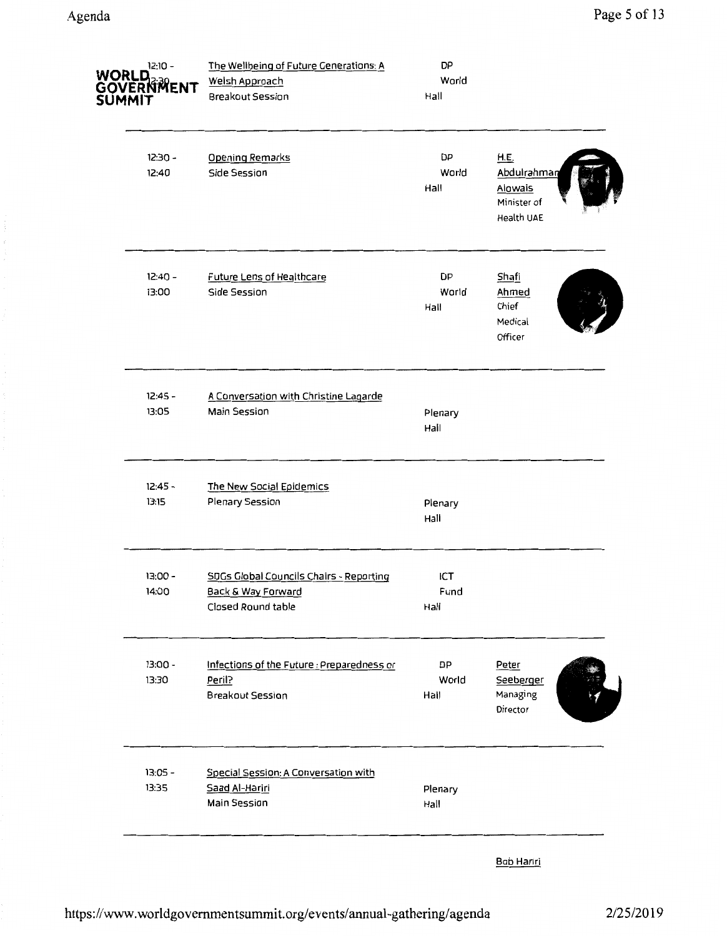|                                                                                     | Hall                |                                                                    |
|-------------------------------------------------------------------------------------|---------------------|--------------------------------------------------------------------|
| <b>Opening Remarks</b><br>Side Session                                              | DP<br>World<br>Hall | <b>H.E.</b><br>Abdulrahman<br>Alowais<br>Minister of<br>Health UAE |
| Future Lens of Healthcare<br>Side Session                                           | DP<br>World<br>Hall | Shafi<br>Ahmed<br>Chief<br>Medical<br>Officer                      |
| A Conversation with Christine Lagarde<br>Main Session                               | Plenary<br>Hall     |                                                                    |
| The New Social Epidemics<br>Plenary Session                                         | Plenary<br>Hall     |                                                                    |
| SDGs Global Councils Chairs - Reporting<br>Back & Way Forward<br>Closed Round table | ICT<br>Fund<br>Hall |                                                                    |
| Infections of the Future : Preparedness or<br>Peril?<br><b>Breakout Session</b>     | DP<br>World<br>Hall | Peter<br>Seeberger<br>Managing<br>Director                         |
| Special Session: A Conversation with<br>Saad Al-Hariri<br>Main Session              | Plenary<br>Hall     |                                                                    |
|                                                                                     |                     |                                                                    |

Bob Hariri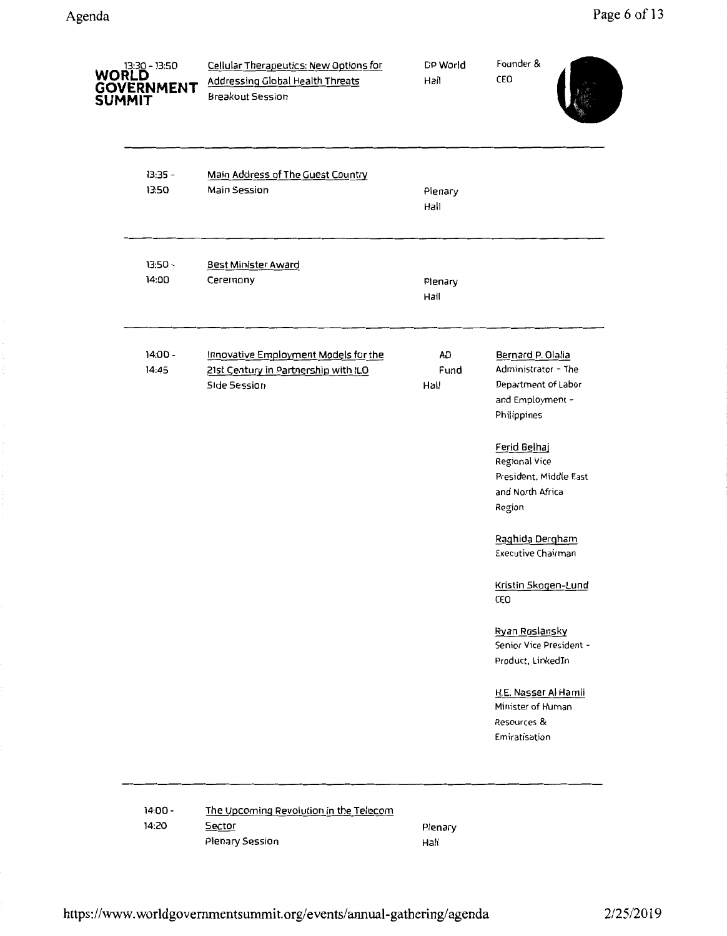| Cellular Therapeutics: New Options for<br><b>Addressing Global Health Threats</b><br>Breakout Session | DP World<br>Hall   | Founder &<br>CEO                                                                                   |
|-------------------------------------------------------------------------------------------------------|--------------------|----------------------------------------------------------------------------------------------------|
| Main Address of The Guest Country<br>Main Session                                                     | Plenary<br>Hall    |                                                                                                    |
| Best Minister Award<br>Ceremony                                                                       | Plenary<br>Hall    |                                                                                                    |
| Innovative Employment Models for the<br>21st Century in Partnership with ILO<br>Side Session          | AD<br>Fund<br>Hall | Bernard P. Olalia<br>Administrator - The<br>Department of Labor<br>and Employment -<br>Philippines |
|                                                                                                       |                    | Ferid Belhaj<br>Regional Vice<br>President, Middle East<br>and North Africa<br>Region              |
|                                                                                                       |                    | Raghida Dergham<br><b>Executive Chairman</b>                                                       |
|                                                                                                       |                    | Kristin Skogen-Lund<br>CEO                                                                         |
|                                                                                                       |                    | Ryan Roslansky<br>Senior Vice President -<br>Product, LinkedIn                                     |
|                                                                                                       |                    | H.E. Nasser Al Hamli<br>Minister of Human<br>Resources &<br>Emiratisation                          |
|                                                                                                       |                    |                                                                                                    |

14:00- 14:20 The Upcoming Revolution in the Telecom **Sector** Plenary Session

Plenary Hall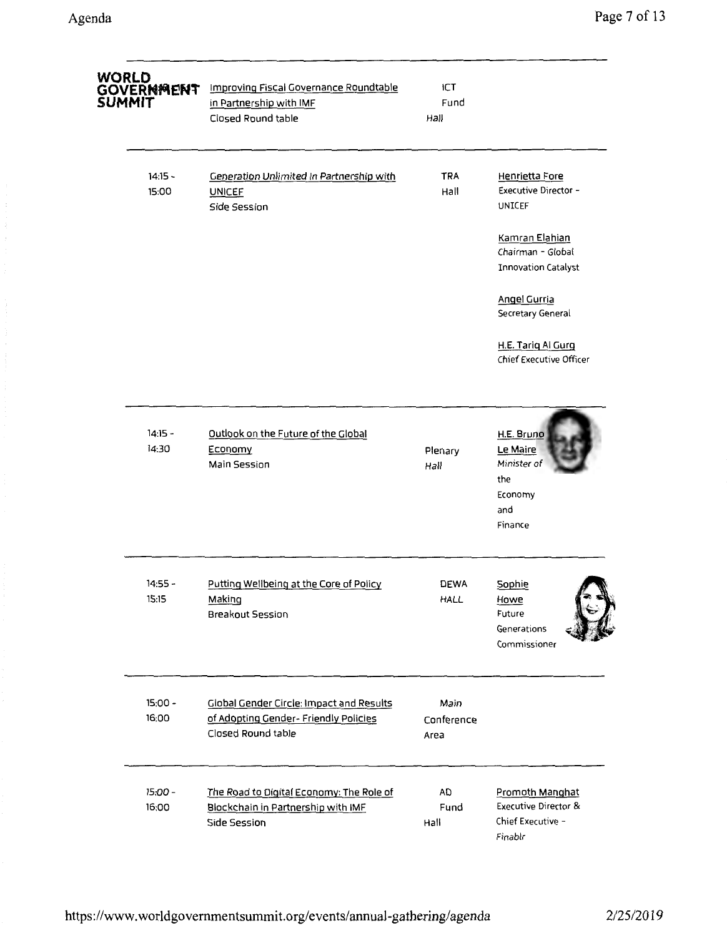| WORLD<br>GOVERNMENT<br>SUMMIT | Improving Fiscal Governance Roundtable<br>in Partnership with IMF<br>Closed Round table                 | <b>ICT</b><br>Fund<br>Hall |                                                                                           |
|-------------------------------|---------------------------------------------------------------------------------------------------------|----------------------------|-------------------------------------------------------------------------------------------|
| $14:15 -$<br>15:00            | <b>Generation Unlimited In Partnership with</b><br><b>UNICEF</b><br>Side Session                        | <b>TRA</b><br>Hall         | Henrietta Fore<br>Executive Director -<br>UNICEF                                          |
|                               |                                                                                                         |                            | Kamran Elahian<br>Chairman - Global<br><b>Innovation Catalyst</b>                         |
|                               |                                                                                                         |                            | Angel Gurria<br>Secretary General                                                         |
|                               |                                                                                                         |                            | H.E. Tariq Al Gurg<br>Chief Executive Officer                                             |
| $14:15 -$<br>14:30            | Outlook on the Future of the Global<br>Economy<br>Main Session                                          | Plenary<br>Hall            | H.E. Bruno<br>Le Maire<br>Minister of<br>the<br>Economy<br>and<br>Finance                 |
| $14:55 -$<br>15:15            | Putting Wellbeing at the Core of Policy<br>Making<br>Breakout Session                                   | <b>DEWA</b><br>HALL        | Sophie<br>Howe<br>Future<br>Generations<br>Commissioner                                   |
| 15:00 -<br>16:00              | Global Gender Circle: Impact and Results<br>of Adopting Gender- Friendly Policies<br>Closed Round table | Main<br>Conference<br>Area |                                                                                           |
| 15:00 -<br>16:00              | The Road to Digital Economy: The Role of<br>Blockchain in Partnership with IMF<br>Side Session          | AD<br>Fund<br>Hall         | <b>Promoth Manghat</b><br><b>Executive Director &amp;</b><br>Chief Executive -<br>Finablr |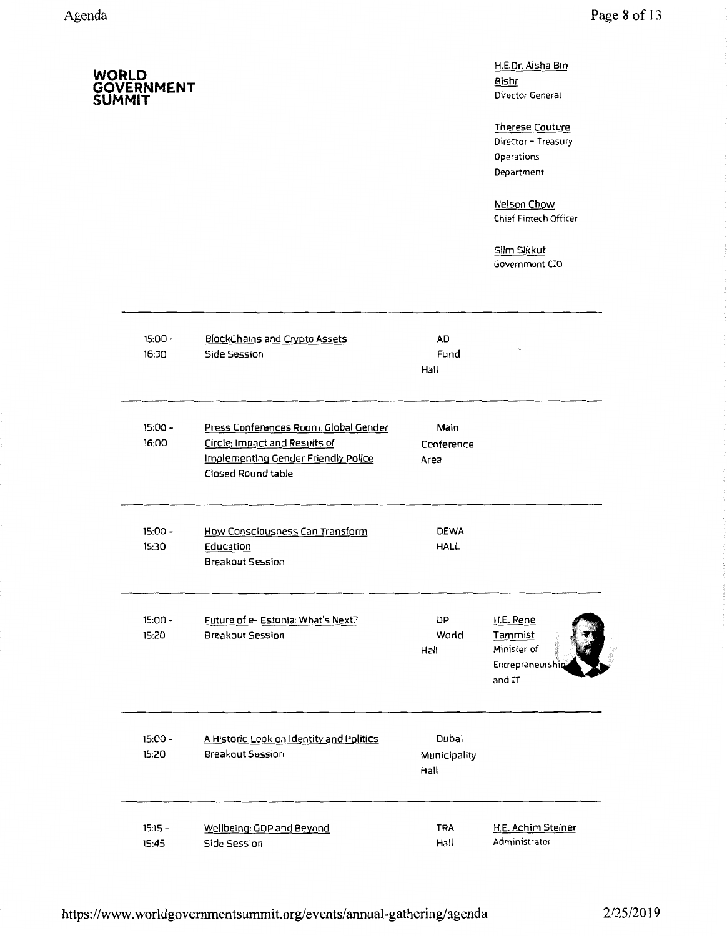H.E.Dr. Aisha Bin Bishr Director General

Therese Couture Director - Treasury **Operations** Department

Nelson Chow Chief Fintech Officer

Siim Sikkut Government CIO

| $15:00 -$<br>16:30 | <b>BlockChains and Crypto Assets</b><br>Side Session                                                                                       | AD<br>Fund<br>Hall            |                                                                   |
|--------------------|--------------------------------------------------------------------------------------------------------------------------------------------|-------------------------------|-------------------------------------------------------------------|
| $15:00 -$<br>16:00 | Press Conferences Room. Global Gender<br>Circle: Impact and Results of<br><b>Implementing Gender Friendly Police</b><br>Closed Round table | Main<br>Conference<br>Area    |                                                                   |
| $15:00 -$<br>15:30 | How Consciousness Can Transform<br>Education<br>Breakout Session                                                                           | <b>DEWA</b><br><b>HALL</b>    |                                                                   |
| $15:00 -$<br>15:20 | Future of e- Estonia: What's Next?<br><b>Breakout Session</b>                                                                              | DP<br>World<br>Hall           | H.E. Rene<br>Tammist<br>Minister of<br>Entrepreneurship<br>and IT |
| $15:00 -$<br>15:20 | A Historic Look on Identity and Politics<br>Breakout Session                                                                               | Dubai<br>Municipality<br>Hall |                                                                   |
| $15:15 -$<br>15:45 | Wellbeing: GDP and Beyond<br>Side Session                                                                                                  | <b>TRA</b><br>Hall            | H.E. Achim Steiner<br>Administrator                               |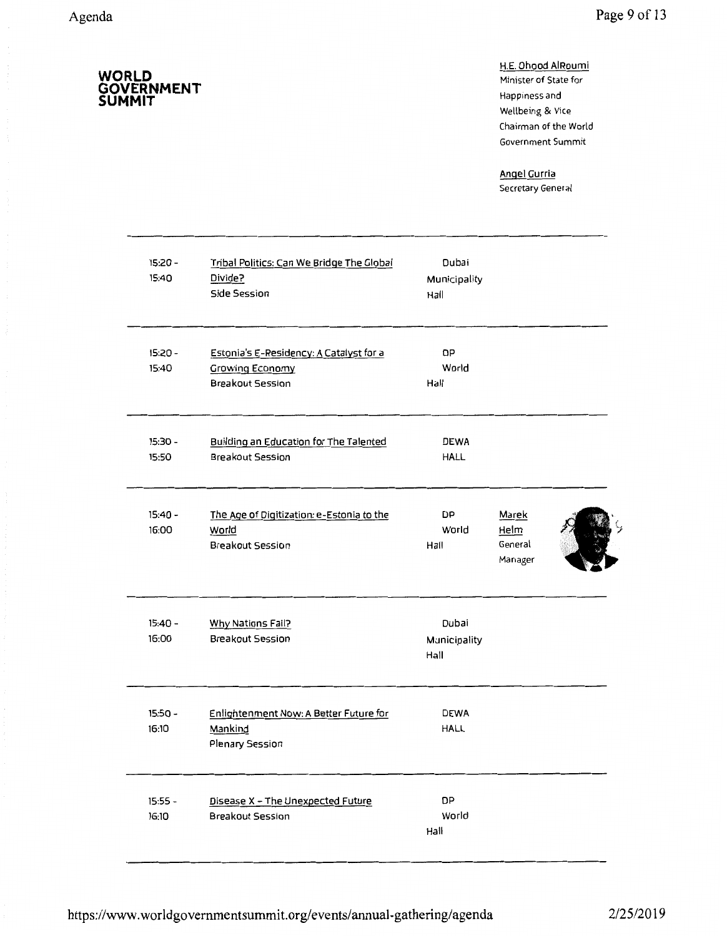**SUMMIT** 

**GOVERNMENT** 

H.E. Ohood AIRoumi Minister of State for Happiness and Wellbeing & Vice Chairman of the World Government Summit

Angel Gurria Secretary General

| 15:20 -<br>15:40   | Tribal Politics: Can We Bridge The Global<br>Divide?<br>Side Session                  | Dubai<br>Municipality<br>Hall |                                     |  |
|--------------------|---------------------------------------------------------------------------------------|-------------------------------|-------------------------------------|--|
| $15:20 -$<br>15:40 | Estonia's E-Residency: A Catalyst for a<br><b>Growing Economy</b><br>Breakout Session | DP<br>World<br>Hall           |                                     |  |
| $15:30 -$<br>15:50 | Building an Education for The Talented<br><b>Breakout Session</b>                     | <b>DEWA</b><br><b>HALL</b>    |                                     |  |
| $15:40 -$<br>16:00 | The Age of Digitization: e-Estonia to the<br>World<br><b>Breakout Session</b>         | DP<br>World<br>Hall           | Marek<br>Helm<br>General<br>Manager |  |
| $15:40 -$<br>16:00 | Why Nations Fail?<br><b>Breakout Session</b>                                          | Dubai<br>Municipality<br>Hall |                                     |  |
| $15:50 -$<br>16:10 | Enlightenment Now: A Better Future for<br>Mankind<br>Plenary Session                  | <b>DEWA</b><br><b>HALL</b>    |                                     |  |
| $15:55 -$<br>16:10 | Disease X - The Unexpected Future<br><b>Breakout Session</b>                          | DP<br>World<br>Hall           |                                     |  |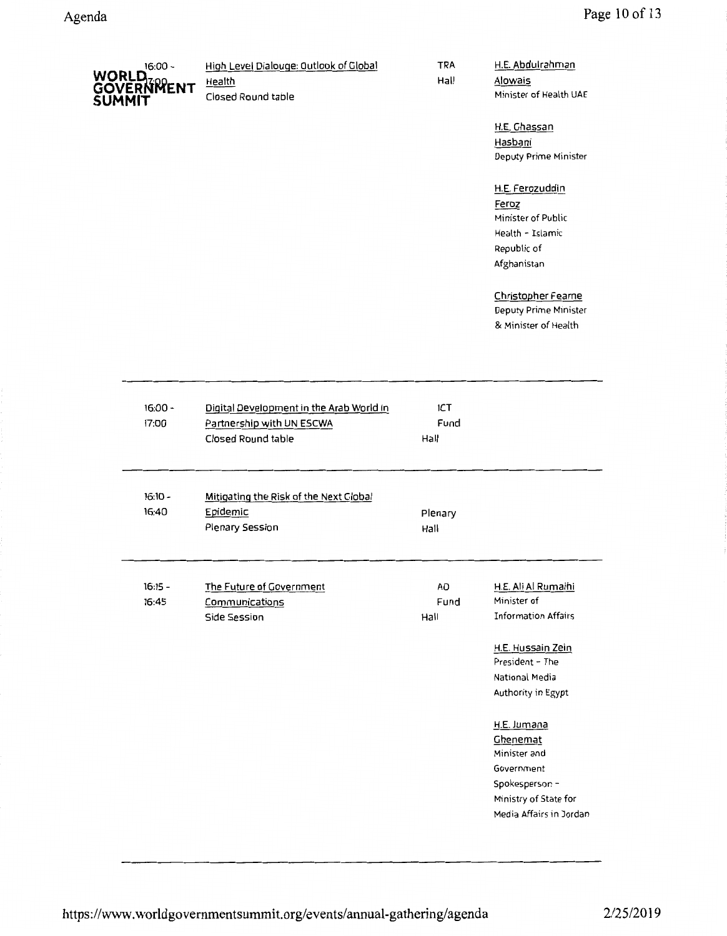| $16:00 -$            | High Level Dialouge: Outlook of Global | TRA  | H.E. Abdulrahman       |
|----------------------|----------------------------------------|------|------------------------|
| WORLD.<br>GOVERNMENT | <b>Health</b>                          | Hall | Alowais                |
| <b>SUMMIT</b>        | Closed Round table                     |      | Minister of Health UAE |

H.E. Ghassan Hasbani Deputy Prime Minister

### H.E. Ferozuddin

Feroz Minister of Public Health - Islamic Republic of Afghanistan

## Christopher Fearne

Deputy Prime Minister & Minister of Health

| $16:00 -$<br>17:00 | Digital Development in the Arab World In<br>Partnership with UN ESCWA<br>Closed Round table | <b>ICT</b><br>Fund<br>Hall |                                                                                                                                                  |
|--------------------|---------------------------------------------------------------------------------------------|----------------------------|--------------------------------------------------------------------------------------------------------------------------------------------------|
| $16:10 -$<br>16:40 | Mitigating the Risk of the Next Global<br>Epidemic<br>Plenary Session                       | Plenary<br>Hall            |                                                                                                                                                  |
| $16:15 -$<br>16:45 | The Future of Government<br>Communications<br>Side Session                                  | <b>AD</b><br>Fund<br>Hall  | H.E. Ali Al Rumaihi<br>Minister of<br><b>Information Affairs</b><br>H.E. Hussain Zein<br>President - The<br>National Media<br>Authority in Egypt |
|                    |                                                                                             |                            | H.E. Jumana<br>Ghenemat<br>Minister and<br>Government<br>Spokesperson -<br>Ministry of State for<br>Media Affairs in Jordan                      |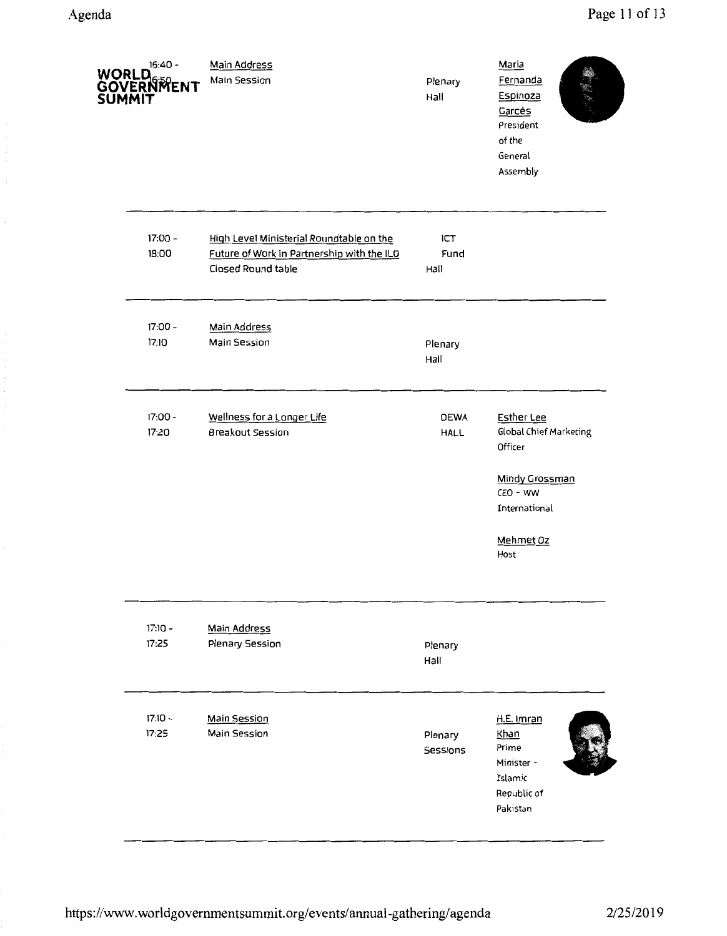| <b>SUMMIT</b> | $16:40 -$<br>WORLD BRIDGE | Main Address<br>Main Session                                                                                 | Plenary<br>Hall            | Maria<br>Fernanda<br>Espinoza<br>Garcés<br>President<br>of the<br>General<br>Assembly                                                    |
|---------------|---------------------------|--------------------------------------------------------------------------------------------------------------|----------------------------|------------------------------------------------------------------------------------------------------------------------------------------|
|               | 17:00 -<br>18:00          | High Level Ministerial Roundtable on the<br>Future of Work in Partnership with the ILO<br>Closed Round table | ICT<br>Fund<br>Hall        |                                                                                                                                          |
|               | 17:00 -<br>17:10          | Main Address<br>Main Session                                                                                 | Plenary<br>Hall            |                                                                                                                                          |
|               | 17:00 -<br>17:20          | Wellness for a Longer Life<br><b>Breakout Session</b>                                                        | <b>DEWA</b><br><b>HALL</b> | <b>Esther Lee</b><br><b>Global Chief Marketing</b><br>Officer<br><b>Mindy Grossman</b><br>CEO - WW<br>International<br>Mehmet Oz<br>Host |
|               | $17:10 -$<br>17:25        | <b>Main Address</b><br>Plenary Session                                                                       | Plenary<br>Hall            |                                                                                                                                          |
|               | $17:10 -$<br>17:25        | <b>Main Session</b><br>Main Session                                                                          | Plenary<br>Sessions        | H.E. Imran<br>Khan<br>Prime<br>Minister -<br>Islamic<br>Republic of<br>Pakistan                                                          |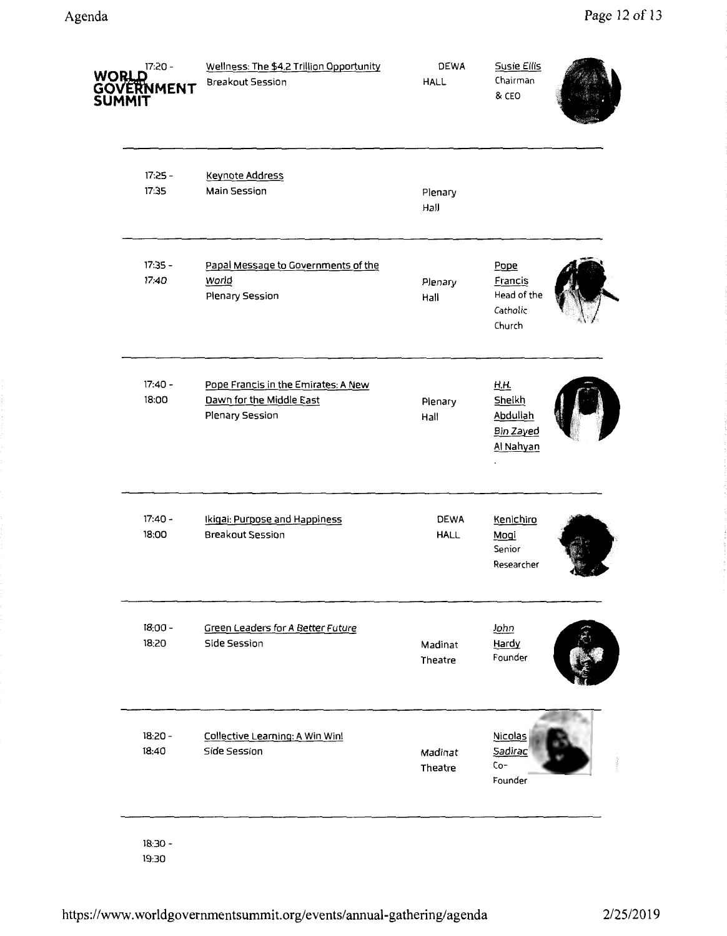| <b>WORLD</b> | 17:20 -<br><b>GOVERNMENT</b><br>SUMMIT | Wellness: The \$4.2 Trillion Opportunity<br>Breakout Session                       | <b>DEWA</b><br><b>HALL</b> | <b>Susie Ellis</b><br>Chairman<br>& CEO              |  |
|--------------|----------------------------------------|------------------------------------------------------------------------------------|----------------------------|------------------------------------------------------|--|
|              | $17:25 -$<br>17:35                     | <b>Keynote Address</b><br>Main Session                                             | Plenary<br>Hall            |                                                      |  |
|              | 17:35 -<br>17:40                       | Papal Message to Governments of the<br>World<br>Plenary Session                    | Plenary<br>Hall            | Pope<br>Francis<br>Head of the<br>Catholic<br>Church |  |
|              | $17:40 -$<br>18:00                     | Pope Francis in the Emirates: A New<br>Dawn for the Middle East<br>Plenary Session | Plenary<br>Hall            | H.H.<br>Sheikh<br>Abdullah<br>Bin Zayed<br>Al Nahyan |  |
|              | $17:40 -$<br>18:00                     | Ikigai: Purpose and Happiness<br>Breakout Session                                  | <b>DEWA</b><br><b>HALL</b> | Kenichiro<br>Mogi<br>Senior<br>Researcher            |  |
|              | $18:00 -$<br>18:20                     | Green Leaders for A Better Future<br>Side Session                                  | Madinat<br>Theatre         | John<br>Hardy<br>Founder                             |  |
|              | $18:20 -$<br>18:40                     | Collective Learning: A Win Win!<br><b>Side Session</b>                             | Madinat<br>Theatre         | <b>Nicolas</b><br>Sadirac<br>$Co-$<br>Founder        |  |
|              | $18:30 -$                              |                                                                                    |                            |                                                      |  |

19:30

**State Andre**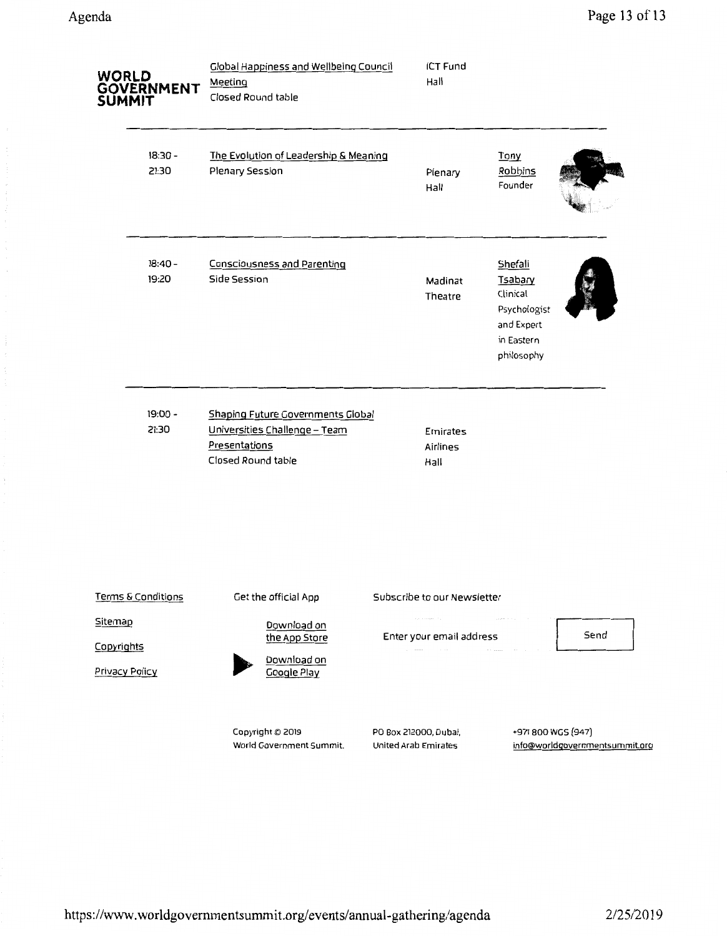| <b>WORLD</b>          | <b>GOVERNMENT</b><br><b>SUMMIT</b>          | <b>Global Happiness and Wellbeing Council</b><br>Meeting<br>Closed Round table                            | <b>ICT Fund</b><br>Hall                                                        |                                                                                                 |
|-----------------------|---------------------------------------------|-----------------------------------------------------------------------------------------------------------|--------------------------------------------------------------------------------|-------------------------------------------------------------------------------------------------|
|                       | $18:30 -$<br>21:30                          | The Evolution of Leadership & Meaning<br>Plenary Session                                                  | Plenary<br>Hall                                                                | Tony<br>Robbins<br>Founder                                                                      |
|                       | $18:40 -$<br>19:20                          | <b>Consciousness and Parenting</b><br><b>Side Session</b>                                                 | Madinat<br>Theatre                                                             | Shefali<br><b>Tsabary</b><br>Clinical<br>Psychologist<br>and Expert<br>in Eastern<br>philosophy |
|                       | 19:00 -<br>21:30                            | Shaping Future Governments Global<br>Universities Challenge - Team<br>Presentations<br>Closed Round table | Emirates<br>Airlines<br>Hall                                                   |                                                                                                 |
| Sitemap<br>Copyrights | Terms & Conditions<br><b>Privacy Policy</b> | Get the official App<br>Download on<br>the App Store<br>Download on<br>Google Play                        | Subscribe to our Newsletter<br>and a companies and<br>Enter your email address | and provide a state of the state<br>Send                                                        |
|                       |                                             | Copyright © 2019<br>World Government Summit.                                                              | PO Box 212000, Dubai,<br>United Arab Emirates                                  | +971 800 WGS (947)<br>info@worldgovernmentsummit.org                                            |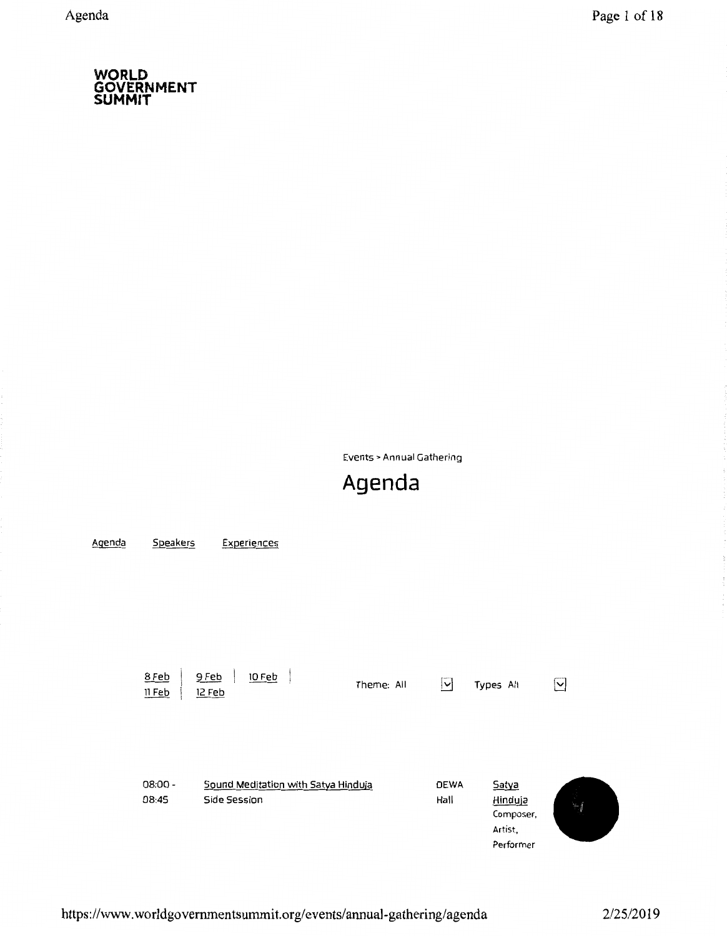Events> Annual Gathering

# **Agenda**

| Agenda | Speakers          | Experiences                         |            |                          |                      |   |
|--------|-------------------|-------------------------------------|------------|--------------------------|----------------------|---|
|        |                   |                                     |            |                          |                      |   |
|        |                   |                                     |            |                          |                      |   |
|        |                   |                                     |            |                          |                      |   |
|        |                   |                                     |            |                          |                      |   |
|        |                   |                                     |            |                          |                      |   |
|        | 8 Feb<br>$11$ Feb | 9 Feb<br><b>10 Feb</b><br>12 Feb    | Theme: All | $\vert \mathsf{v} \vert$ | Types All            | ⊻ |
|        |                   |                                     |            |                          |                      |   |
|        |                   |                                     |            |                          |                      |   |
|        |                   |                                     |            |                          |                      |   |
|        | $08:00 -$         | Sound Meditation with Satya Hinduja |            | <b>DEWA</b>              | Satya                |   |
|        | 08:45             | Side Session                        |            | Hall                     | Hinduja<br>Composer, |   |
|        |                   |                                     |            |                          | Artist,              |   |
|        |                   |                                     |            |                          | Performer            |   |

 $\sim$   $\sim$  $\sim$  $\frac{1}{2}$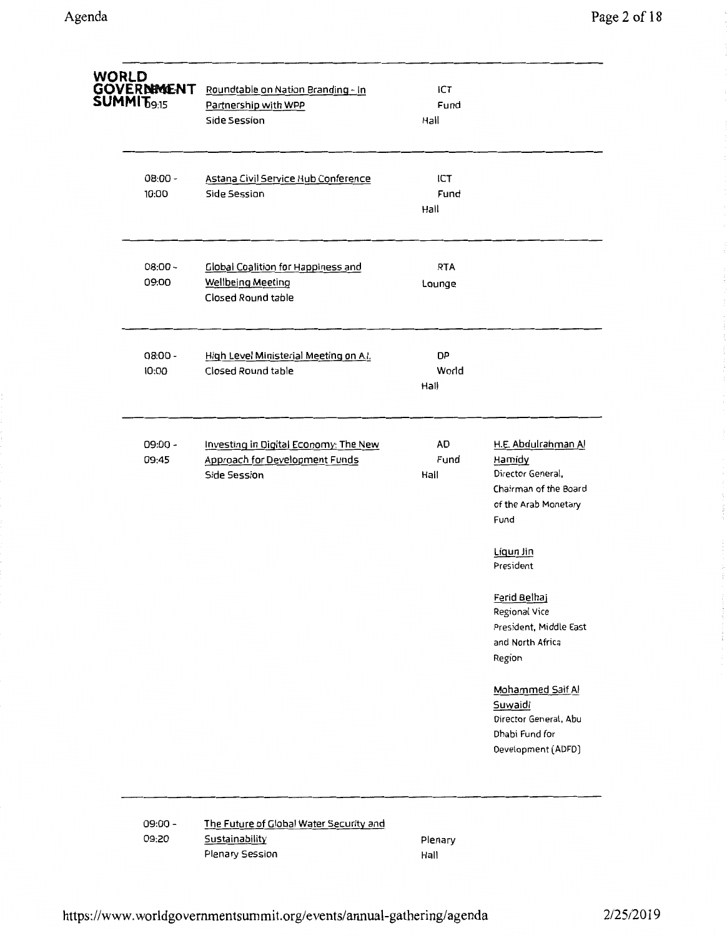| WORLD<br>GOVERNIMENT<br>SUMMIT <sub>09:15</sub> | Roundtable on Nation Branding - In<br>Partnership with WPP<br>Side Session                  | ICT<br>Fund<br>Hall        |                                                                                                             |
|-------------------------------------------------|---------------------------------------------------------------------------------------------|----------------------------|-------------------------------------------------------------------------------------------------------------|
| $08:00 -$<br>10:00                              | Astana Civil Service Hub Conference<br>Side Session                                         | ICT<br>Fund<br>Hall        |                                                                                                             |
| $08:00 -$<br>09:00                              | <b>Global Coalition for Happiness and</b><br><b>Wellbeing Meeting</b><br>Closed Round table | <b>RTA</b><br>Lounge       |                                                                                                             |
| $08:00 -$<br>10:00                              | High Level Ministerial Meeting on A.I.<br>Closed Round table                                | <b>DP</b><br>World<br>Hall |                                                                                                             |
| $09:00 -$<br>09:45                              | Investing in Digital Economy: The New<br>Approach for Development Funds<br>Side Session     | AD<br>Fund<br>Hall         | H.E. Abdulrahman Al<br>Hamidy<br>Director General,<br>Chairman of the Board<br>of the Arab Monetary<br>Fund |
|                                                 |                                                                                             |                            | Ligun Jin<br>President                                                                                      |
|                                                 |                                                                                             |                            | <u>Ferid Belhaj</u><br>Regional Vice<br>President, Middle East<br>and North Africa<br>Region                |
|                                                 |                                                                                             |                            | Mohammed Saif Al<br>Suwaidi<br>Director General, Abu<br>Dhabi Fund for<br>Development (ADFD)                |

09:00- 09:20 The Future of Global Water Security and **Sustainability** Plenary Session

Plenary Hall

à.

the first concerning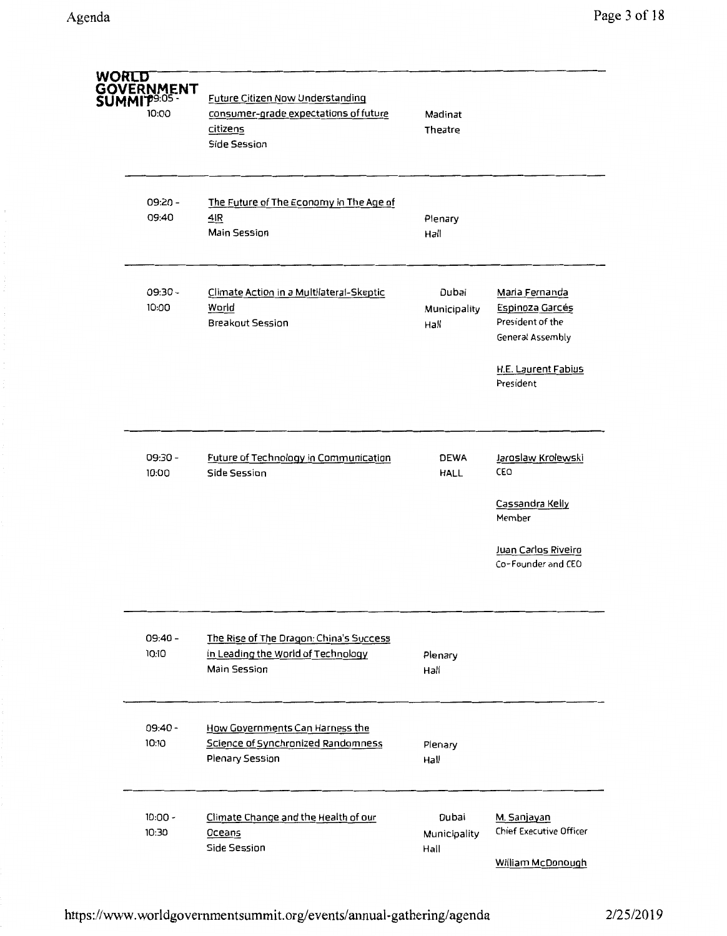| <b>WORLD</b> | GOVERNMENT<br><b>MMITP9:05-</b><br>10:00 | Future Citizen Now Understanding<br>consumer-grade expectations of future<br>citizens<br><b>Side Session</b> | Madinat<br>Theatre            |                                                                           |
|--------------|------------------------------------------|--------------------------------------------------------------------------------------------------------------|-------------------------------|---------------------------------------------------------------------------|
|              | 09:20 -<br>09:40                         | The Future of The Economy in The Age of<br>4IR<br>Main Session                                               | Plenary<br>Hall               |                                                                           |
|              | 09:30 -<br>10:00                         | Climate Action in a Multilateral-Skeptic<br>World<br><b>Breakout Session</b>                                 | Dubai<br>Municipality<br>Hall | Maria Fernanda<br>Espinoza Garcés<br>President of the<br>General Assembly |
|              |                                          |                                                                                                              |                               | H.E. Laurent Fabius<br>President                                          |
|              | 09:30 -<br>10:00                         | Future of Technology in Communication<br>Side Session                                                        | DEWA<br>HALL                  | Jaroslaw Krolewski<br>CEO<br>Cassandra Kelly<br>Member                    |
|              |                                          |                                                                                                              |                               | Juan Carlos Riveiro<br>Co-Founder and CEO                                 |
|              | $09:40 -$<br>10:10                       | The Rise of The Dragon: China's Success<br>in Leading the World of Technology<br><b>Main Session</b>         | Plenary<br>Hall               |                                                                           |
|              | $09:40 -$<br>10:10                       | How Governments Can Harness the<br>Science of Synchronized Randomness<br>Plenary Session                     | Plenary<br>Hall               |                                                                           |
|              | $10:00 -$<br>10:30                       | Climate Change and the Health of our<br>Oceans<br><b>Side Session</b>                                        | Dubai<br>Municipality<br>Hall | M. Sanjayan<br><b>Chief Executive Officer</b><br>William McDonough        |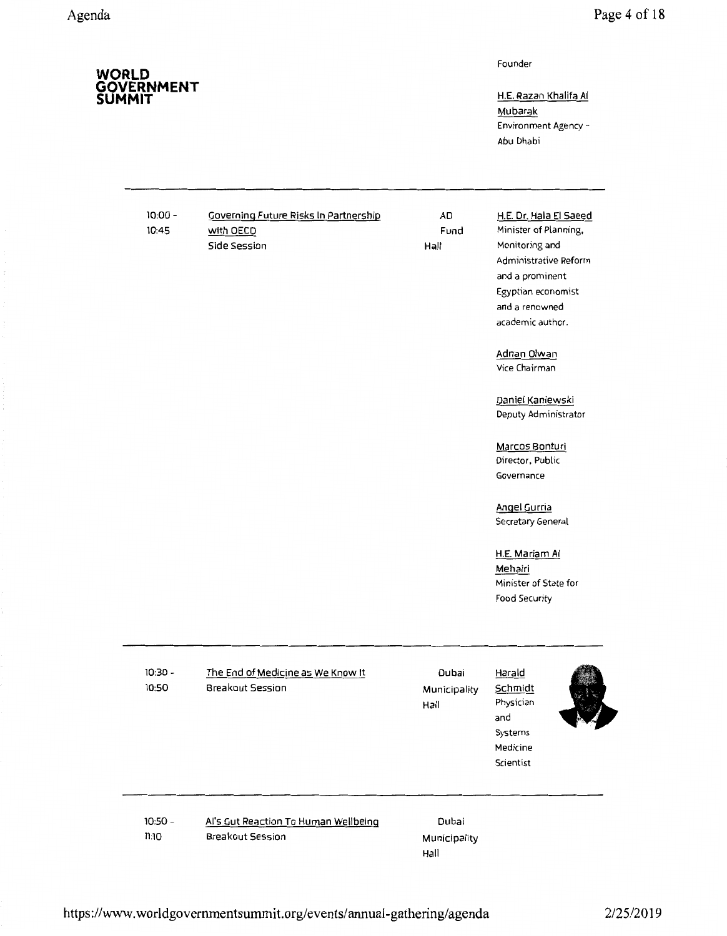Founder

H.E. Razan Khalifa AI Mubarak Environment Agency - Abu Dhabi

10:00- 10:4S

Governing Future Risks In Partnership with OECD Side Session

AD Fund Hall

## H.E. Or. Hala El Saeed Minister of Planning, Monitoring and Administrative Reform and a prominent Egyptian economist

academic author.

and a renowned

Adnan Olwan Vice Chairman

Daniel Kaniewski Deputy Administrator

Marcos Bonturi Director, Public Governance

Angel Gurria Secretary General

### H.E. Mariam AI Mehairi Minister of State for Food Security

| $10:30 -$<br>10:50 | The End of Medicine as We Know It<br>Breakout Session    | Dubai<br>Municipality<br>Hall | <u>Harald</u><br>Schmidt<br>Physician<br>and<br>Systems<br>Medicine<br>Scientist |  |
|--------------------|----------------------------------------------------------|-------------------------------|----------------------------------------------------------------------------------|--|
| $10:50 -$<br>11:10 | Al's Gut Reaction To Human Wellbeing<br>Breakout Session | Dubai<br>Municipality<br>Hall |                                                                                  |  |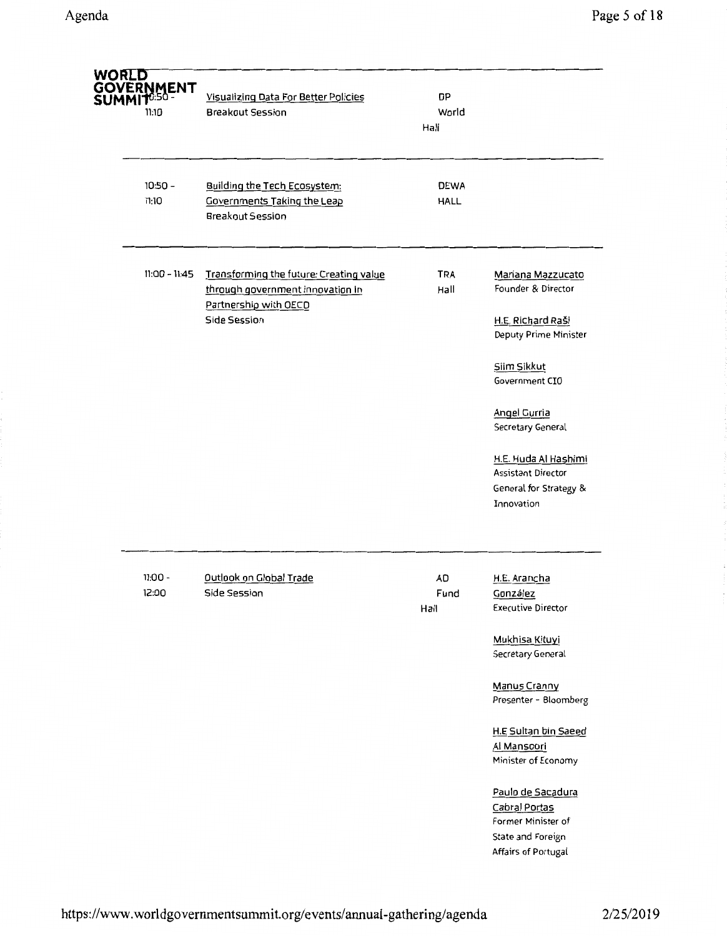| <b>WORLD</b> | <b>GOVERNMENT</b><br>SUMMIT0:50 -<br>11:10 | Visualizing Data For Better Policies<br><b>Breakout Session</b>                                                      | DP<br>World<br>Hall        |                                                                                                      |
|--------------|--------------------------------------------|----------------------------------------------------------------------------------------------------------------------|----------------------------|------------------------------------------------------------------------------------------------------|
|              | $10:50 -$<br>11:10                         | <b>Building the Tech Ecosystem:</b><br>Governments Taking the Leap<br><b>Breakout Session</b>                        | <b>DEWA</b><br><b>HALL</b> |                                                                                                      |
|              | 11:00 - 11:45                              | Transforming the future: Creating value<br>through government innovation in<br>Partnership with OECD<br>Side Session | <b>TRA</b><br>Hall         | Mariana Mazzucato<br>Founder & Director<br>H.E. Richard Raši<br>Deputy Prime Minister                |
|              |                                            |                                                                                                                      |                            | Siim Sikkut<br>Government CIO                                                                        |
|              |                                            |                                                                                                                      |                            | <b>Angel Gurria</b><br>Secretary General                                                             |
|              |                                            |                                                                                                                      |                            | H.E. Huda Al Hashimi<br><b>Assistant Director</b><br>General for Strategy &<br>Innovation            |
|              | $11:00 -$<br>12:00                         | Outlook on Global Trade<br>Side Session                                                                              | <b>AD</b><br>Fund<br>Hall  | H.E. Arancha<br>González<br><b>Executive Director</b>                                                |
|              |                                            |                                                                                                                      |                            | Mukhisa Kituyi<br>Secretary General                                                                  |
|              |                                            |                                                                                                                      |                            | <b>Manus Cranny</b><br>Presenter - Bloomberg                                                         |
|              |                                            |                                                                                                                      |                            | H.E Sultan bin Saeed<br>Al Mansoori<br>Minister of Economy                                           |
|              |                                            |                                                                                                                      |                            | Paulo de Sacadura<br>Cabral Portas<br>Former Minister of<br>State and Foreign<br>Affairs of Portugal |

 $\hat{\rho}$ 

 $\sim$   $\sim$  $\frac{1}{2}$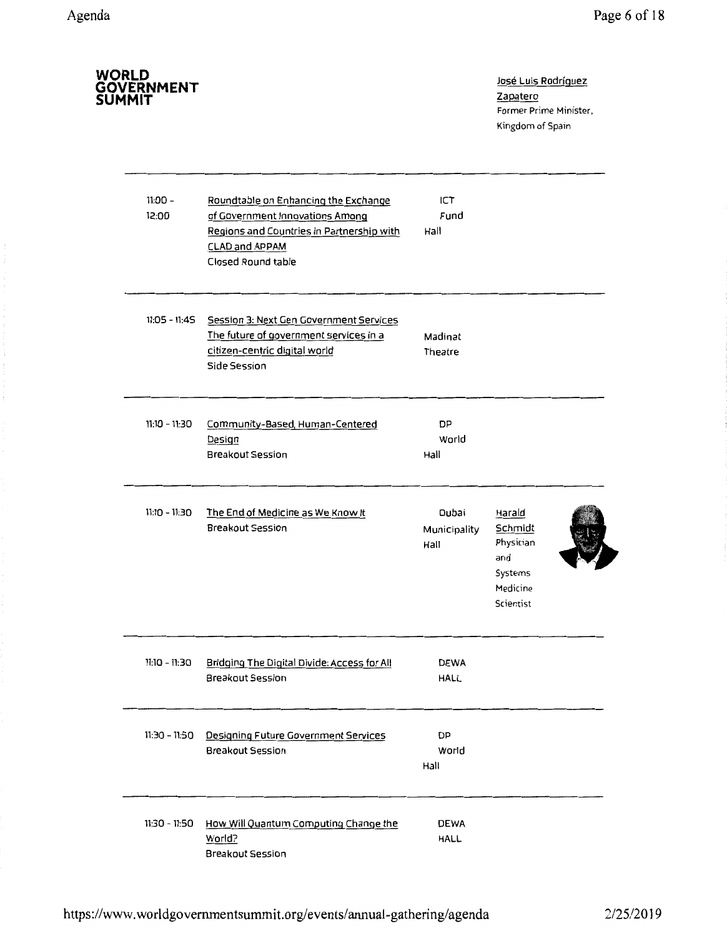| WORLD<br>GOVERNMENT<br>SUMMIT |                                                                                                                                                                     |                               | José Luis Rodríguez<br>Zapatero<br>Former Prime Minister,<br>Kingdom of Spain |
|-------------------------------|---------------------------------------------------------------------------------------------------------------------------------------------------------------------|-------------------------------|-------------------------------------------------------------------------------|
| $11:00 -$<br>12:00            | Roundtable on Enhancing the Exchange<br>of Government Innovations Among<br>Regions and Countries in Partnership with<br><b>CLAD and APPAM</b><br>Closed Round table | ICT<br>Fund<br>Hall           |                                                                               |
| $11:05 - 11:45$               | Session 3: Next Gen Government Services<br>The future of government services in a<br>citizen-centric digital world<br>Side Session                                  | Madinat<br>Theatre            |                                                                               |
| $11:10 - 11:30$               | Community-Based, Human-Centered<br>Design<br><b>Breakout Session</b>                                                                                                | DP<br>World<br>Hall           |                                                                               |
| $11:10 - 11:30$               | The End of Medicine as We Know It<br><b>Breakout Session</b>                                                                                                        | Dubai<br>Municipality<br>Hall | Harald<br>Schmidt<br>Physician<br>and<br>Systems<br>Medicine<br>Scientist     |
| 11:10 - 11:30                 | Bridging The Digital Divide: Access for All<br><b>Breakout Session</b>                                                                                              | <b>DEWA</b><br><b>HALL</b>    |                                                                               |
| 11:30 - 11:50                 | Designing Future Government Services<br><b>Breakout Session</b>                                                                                                     | DP<br>World<br>Hall           |                                                                               |
| $11:30 - 11:50$               | How Will Quantum Computing Change the<br>World?<br>Breakout Session                                                                                                 | <b>DEWA</b><br><b>HALL</b>    |                                                                               |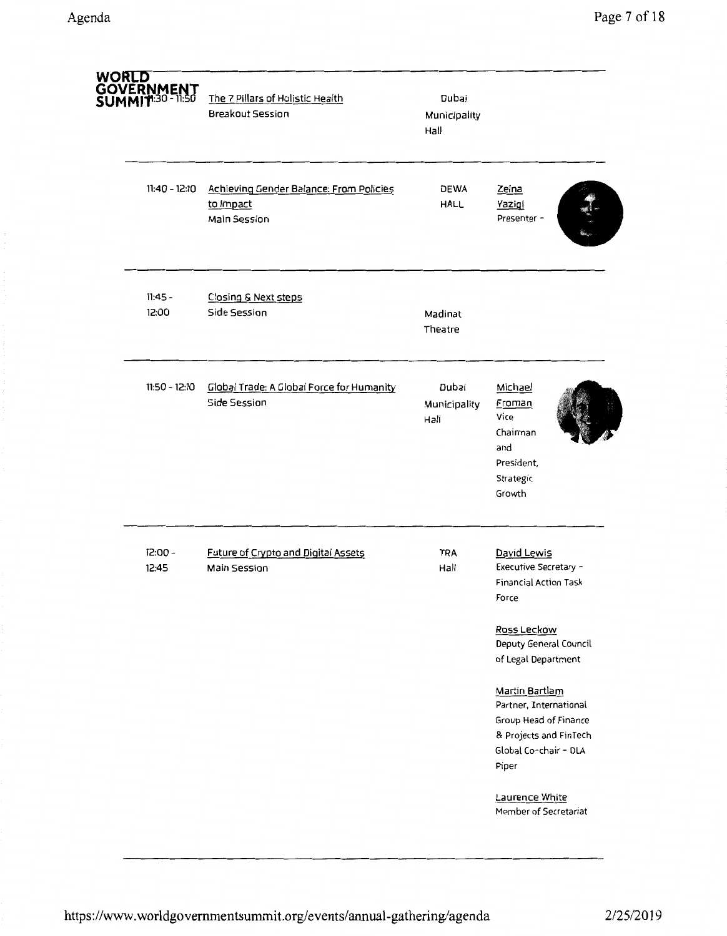| <u>WORLD</u><br><b>GOVERNMENT</b><br>SUMMIT <sup>1:30 - 11:50</sup> | The 7 Pillars of Holistic Health<br><b>Breakout Session</b>          | Dubai<br>Municipality<br>Hall |                                                                                                                                               |
|---------------------------------------------------------------------|----------------------------------------------------------------------|-------------------------------|-----------------------------------------------------------------------------------------------------------------------------------------------|
| $11:40 - 12:10$                                                     | Achieving Gender Balance: From Policies<br>to Impact<br>Main Session | <b>DEWA</b><br><b>HALL</b>    | Zeina<br>Yazigi<br>Presenter -                                                                                                                |
| $11:45 -$<br>12:00                                                  | Closing & Next steps<br>Side Session                                 | Madinat<br>Theatre            |                                                                                                                                               |
| $11:50 - 12:10$                                                     | Global Trade: A Global Force for Humanity<br>Side Session            | Dubai<br>Municipality<br>Hall | Michael<br>Froman<br>Vice<br>Chairman<br>and<br>President,<br>Strategic<br>Growth                                                             |
| 12:00 -<br>12:45                                                    | Future of Crypto and Digital Assets<br>Main Session                  | <b>TRA</b><br>Hall            | David Lewis<br>Executive Secretary -<br><b>Financial Action Task</b><br>Force<br>Ross Leckow<br>Deputy General Council<br>of Legal Department |
|                                                                     |                                                                      |                               | Martin Bartlam<br>Partner, International<br>Group Head of Finance<br>& Projects and FinTech<br>Global Co-chair - DLA<br>Piper                 |
|                                                                     |                                                                      |                               | Laurence White<br>Member of Secretariat                                                                                                       |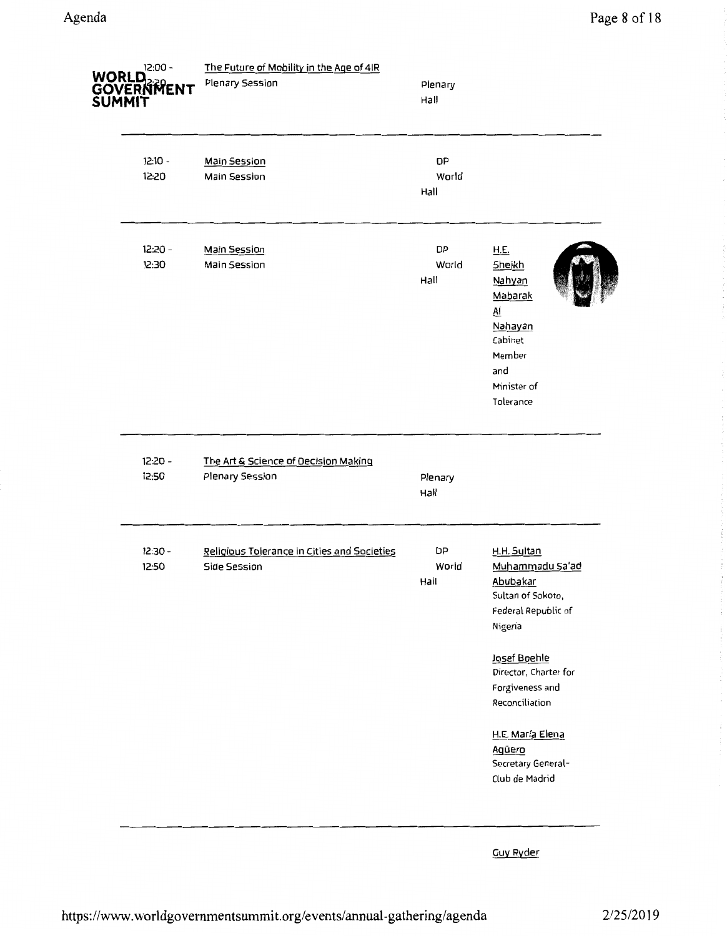| 12:00 -<br>WORLD<br>GOVERNMENT<br>SUMMIT | The Future of Mobility in the Age of 4IR<br>Plenary Session | Plenary<br>Hall            |                                                                                                                                                                                 |
|------------------------------------------|-------------------------------------------------------------|----------------------------|---------------------------------------------------------------------------------------------------------------------------------------------------------------------------------|
| $12:10 -$<br>12:20                       | <b>Main Session</b><br>Main Session                         | <b>DP</b><br>World<br>Hall |                                                                                                                                                                                 |
| 12:20 -<br>12:30                         | <b>Main Session</b><br>Main Session                         | DP<br>World<br>Hall        | <b>H.E.</b><br>Sheikh<br>Nahyan<br>Mabarak<br><u>Al</u><br>Nahayan<br>Cabinet<br>Member<br>and<br>Minister of<br>Tolerance                                                      |
| $12:20 -$<br>12:50                       | The Art & Science of Decision Making<br>Plenary Session     | Plenary<br>Hail            |                                                                                                                                                                                 |
| $12:30 -$<br>12:50                       | Religious Tolerance in Cities and Societies<br>Side Session | DP<br>World<br>Hall        | H.H. Sultan<br>Muhammadu Sa'ad<br>Abubakar<br>Sultan of Sokoto,<br>Federal Republic of<br>Nigeria<br>Josef Boehle<br>Director, Charter for<br>Forgiveness and<br>Reconciliation |
|                                          |                                                             |                            | H.E. María Elena<br>Agüero<br>Secretary General-<br>Club de Madrid                                                                                                              |

Guy Ryder

 $\sim$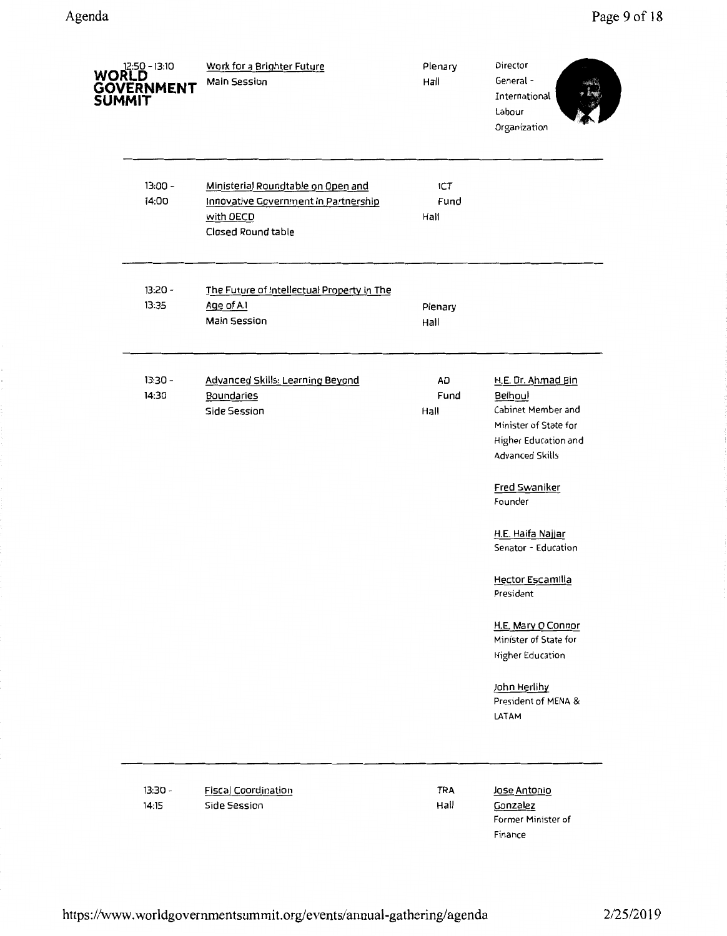| <b>WORLD</b><br>GOVERNMENT<br>SUMMIT | Work for a Brighter Future<br>Main Session                                                                    | Plenary<br>Hall            | Director<br>General-<br>International<br>Labour<br>Organization                                                                |
|--------------------------------------|---------------------------------------------------------------------------------------------------------------|----------------------------|--------------------------------------------------------------------------------------------------------------------------------|
| $13:00 -$<br>14:00                   | Ministerial Roundtable on Open and<br>Innovative Government In Partnership<br>with OECD<br>Closed Round table | <b>ICT</b><br>Fund<br>Hall |                                                                                                                                |
| 13:20 -<br>13:35                     | The Future of Intellectual Property in The<br>Age of A.I<br><b>Main Session</b>                               | Plenary<br>Hall            |                                                                                                                                |
| $13:30 -$<br>14:30                   | Advanced Skills: Learning Beyond<br>Boundaries<br>Side Session                                                | <b>AD</b><br>Fund<br>Hall  | H.E. Dr. Ahmad Bin<br>Belhoul<br>Cabinet Member and<br>Minister of State for<br>Higher Education and<br><b>Advanced Skills</b> |
|                                      |                                                                                                               |                            | Fred Swaniker<br>Founder<br>H.E. Haifa Najjar<br>Senator - Education                                                           |
|                                      |                                                                                                               |                            | <b>Hector Escamilla</b><br>President                                                                                           |
|                                      |                                                                                                               |                            | H.E. Mary O Connor<br>Minister of State for<br><b>Higher Education</b>                                                         |
|                                      |                                                                                                               |                            | John Herlihy<br>President of MENA &<br>LATAM                                                                                   |
| $13:30 -$<br>14:15                   | <b>Fiscal Coordination</b><br>Side Session                                                                    | <b>TRA</b><br>Hall         | Jose Antonio<br>Gonzalez<br>Former Minister of<br>Finance                                                                      |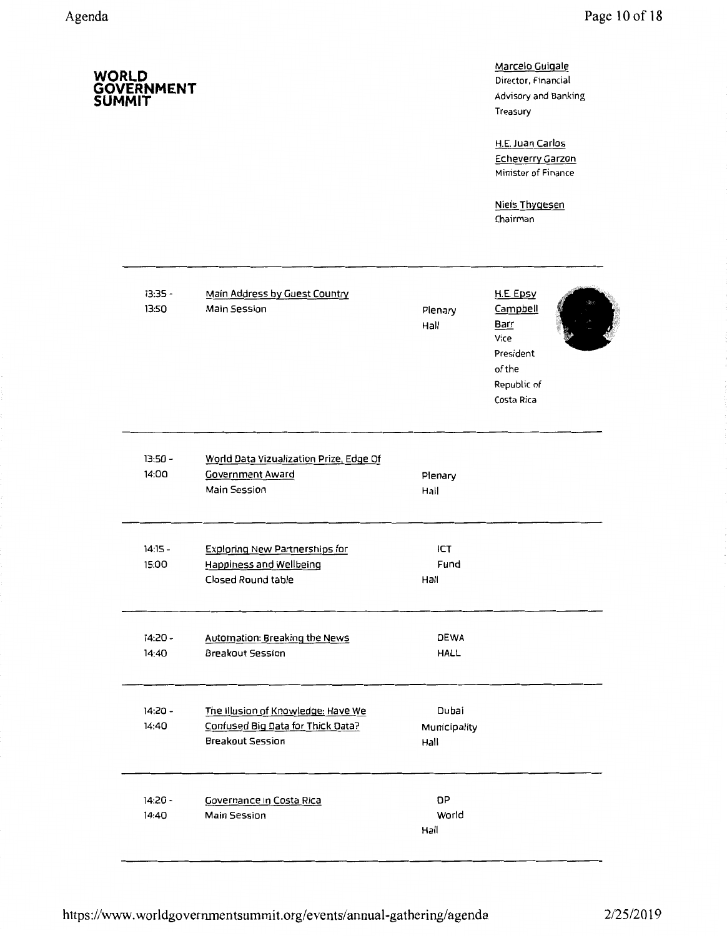**SUMMIT** 

**GOVERNMENT** 

## Marcelo Guigale Director, Financial Advisory and Banking Treasury

H.E. Juan Carlos Echeverry Garzon Minister of Finance

Niels Thygesen Chairman

| 13:35 -<br>13:50   | Main Address by Guest Country<br><b>Main Session</b>                                          | Plenary<br>Hall               | H.E. Epsy<br>Campbell<br>Barr<br>Vice<br>President<br>of the<br>Republic of<br>Costa Rica |  |
|--------------------|-----------------------------------------------------------------------------------------------|-------------------------------|-------------------------------------------------------------------------------------------|--|
| $13:50 -$<br>14:00 | World Data Vizualization Prize, Edge Of<br><b>Government Award</b><br>Main Session            | Plenary<br>Hall               |                                                                                           |  |
| $14:15 -$<br>15:00 | <b>Exploring New Partnerships for</b><br><b>Happiness and Wellbeing</b><br>Closed Round table | ICT<br>Fund<br>Hall           |                                                                                           |  |
| $14:20 -$<br>14:40 | <b>Automation: Breaking the News</b><br><b>Breakout Session</b>                               | <b>DEWA</b><br><b>HALL</b>    |                                                                                           |  |
| 14:20 -<br>14:40   | The Illusion of Knowledge: Have We<br>Confused Big Data for Thick Data?<br>Breakout Session   | Dubai<br>Municipality<br>Hall |                                                                                           |  |
| 14:20 -<br>14:40   | Governance in Costa Rica<br>Main Session                                                      | DP<br>World<br>Hall           |                                                                                           |  |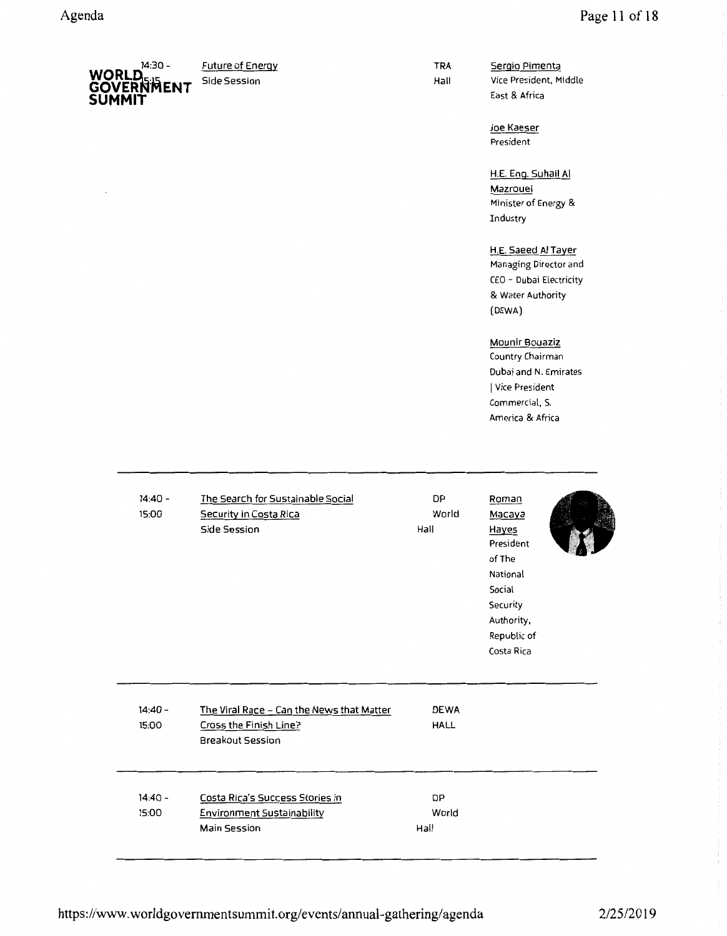

TRA Hall

Sergio Pimenta Vice President, Middle East & Africa

Joe Kaeser President

H.E. Eng. Suhail AI Mazrouei Minister of Energy & Industry

H.E. Saeed AI Tayer Managing Director and CEO - Dubai Electricity & Water Authority (DEWA)

#### Mounir Bouaziz

Country Chairman Dubai and N. Emirates I Vice President Commercial, S. America & Africa

| $14:40 -$<br>15:00 | The Search for Sustainable Social<br>Security in Costa Rica<br>Side Session                    | <b>DP</b><br>World<br>Hail | Roman<br>Macaya<br>Hayes<br>President<br>of The<br>National<br>Social<br>Security<br>Authority,<br>Republic of<br>Costa Rica |  |
|--------------------|------------------------------------------------------------------------------------------------|----------------------------|------------------------------------------------------------------------------------------------------------------------------|--|
| $14:40 -$<br>15:00 | The Viral Race - Can the News that Matter<br>Cross the Finish Line?<br><b>Breakout Session</b> | <b>DEWA</b><br><b>HALL</b> |                                                                                                                              |  |
| $14:40 -$<br>15:00 | Costa Rica's Success Stories in<br><b>Environment Sustainability</b><br>Main Session           | <b>DP</b><br>World<br>Hall |                                                                                                                              |  |

https://www.worldgovernmentsummit.org/events/annual-gathering/agenda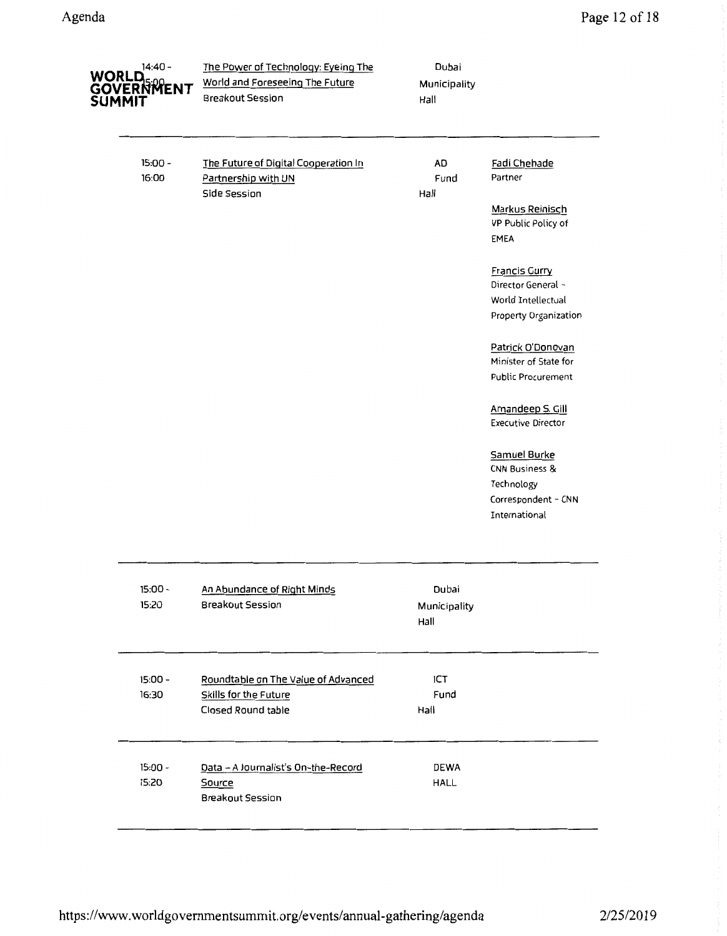| 14:40 -<br>WORLD<br>GOVERNMENT<br>SUMMIT | The Power of Technology: Eyeing The<br>World and Foreseeing The Future<br><b>Breakout Session</b> | Dubai<br>Municipality<br>Hall |                                                                                                 |
|------------------------------------------|---------------------------------------------------------------------------------------------------|-------------------------------|-------------------------------------------------------------------------------------------------|
| $15:00 -$<br>16:00                       | The Future of Digital Cooperation In<br>Partnership with UN<br>Side Session                       | AD<br>Fund<br>Hall            | Fadi Chehade<br>Partner<br>Markus Reinisch<br>VP Public Policy of<br>EMEA                       |
|                                          |                                                                                                   |                               | <b>Francis Gurry</b><br>Director General -<br>World Intellectual<br>Property Organization       |
|                                          |                                                                                                   |                               | Patrick O'Donovan<br>Minister of State for<br>Public Procurement                                |
|                                          |                                                                                                   |                               | Amandeep S. Gill<br><b>Executive Director</b>                                                   |
|                                          |                                                                                                   |                               | Samuel Burke<br><b>CNN Business &amp;</b><br>Technology<br>Correspondent - CNN<br>International |
|                                          |                                                                                                   |                               |                                                                                                 |

| $15:00 -$<br>15:20 | An Abundance of Right Minds<br><b>Breakout Session</b>                             | Dubai<br>Municipality<br>Hall |  |
|--------------------|------------------------------------------------------------------------------------|-------------------------------|--|
| $15:00 -$<br>16:30 | Roundtable on The Value of Advanced<br>Skills for the Future<br>Closed Round table | ICT<br>Fund<br>Hall           |  |
| $15:00 -$<br>15:20 | Data - A Journalist's On-the-Record<br>Source<br><b>Breakout Session</b>           | <b>DEWA</b><br>HALL           |  |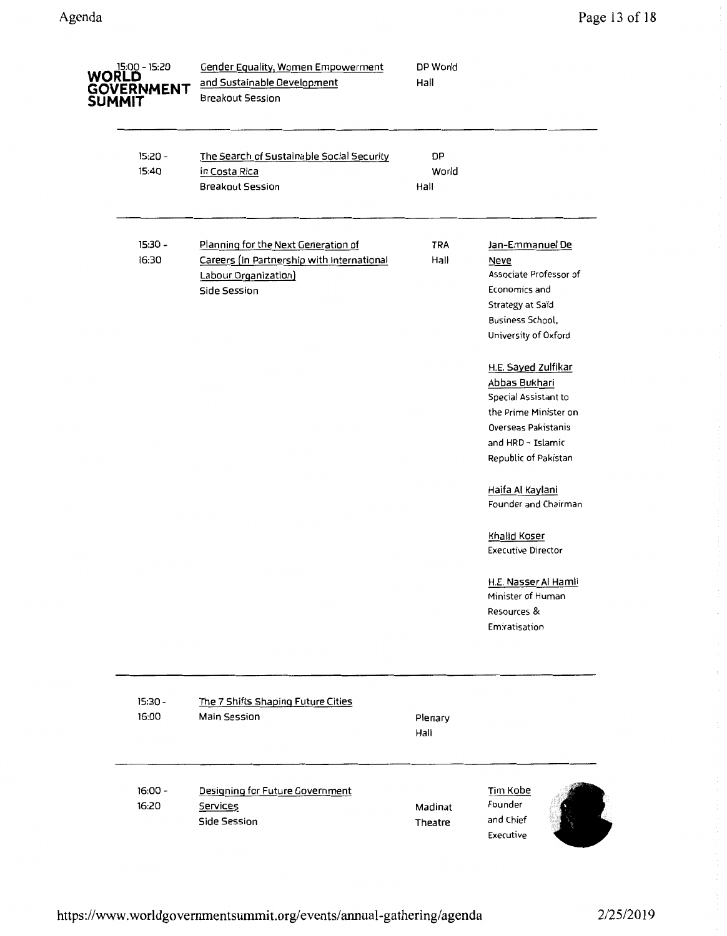| 15:00 - 15:20<br>WORLD<br>GOVERNMENT<br>SUMMIT | <b>Gender Equality, Women Empowerment</b><br>and Sustainable Development<br>Breakout Session                              | DP World<br>Hall    |                                                                                                                                                                                   |
|------------------------------------------------|---------------------------------------------------------------------------------------------------------------------------|---------------------|-----------------------------------------------------------------------------------------------------------------------------------------------------------------------------------|
| 15:20 -<br>15:40                               | The Search of Sustainable Social Security<br>in Costa Rica<br><b>Breakout Session</b>                                     | DP<br>World<br>Hall |                                                                                                                                                                                   |
| $15:30 -$<br>16:30                             | Planning for the Next Generation of<br>Careers (in Partnership with International<br>Labour Organization)<br>Side Session | <b>TRA</b><br>Hall  | Jan-Emmanuel De<br><b>Neve</b><br>Associate Professor of<br>Economics and<br>Strategy at Saïd<br>Business School,<br>University of Oxford<br>H.E. Sayed Zulfikar<br>Abbas Bukhari |
|                                                |                                                                                                                           |                     | Special Assistant to<br>the Prime Minister on<br>Overseas Pakistanis<br>and HRD - Islamic<br>Republic of Pakistan<br>Haifa Al Kaylani                                             |
|                                                |                                                                                                                           |                     | Founder and Chairman<br><b>Khalid Koser</b><br><b>Executive Director</b>                                                                                                          |
|                                                |                                                                                                                           |                     | H.E. Nasser Al Hamli<br>Minister of Human<br>Resources &<br>Emiratisation                                                                                                         |
| 15:30 -<br>16:00                               | The 7 Shifts Shaping Future Cities<br>Main Session                                                                        | Plenary<br>Hall     |                                                                                                                                                                                   |
| $16:00 -$<br>16:20                             | Designing for Future Government<br>Services<br>Side Session                                                               | Madinat<br>Theatre  | Tim Kobe<br>Founder<br>and Chief<br>Executive                                                                                                                                     |

 $\overline{\phantom{a}}$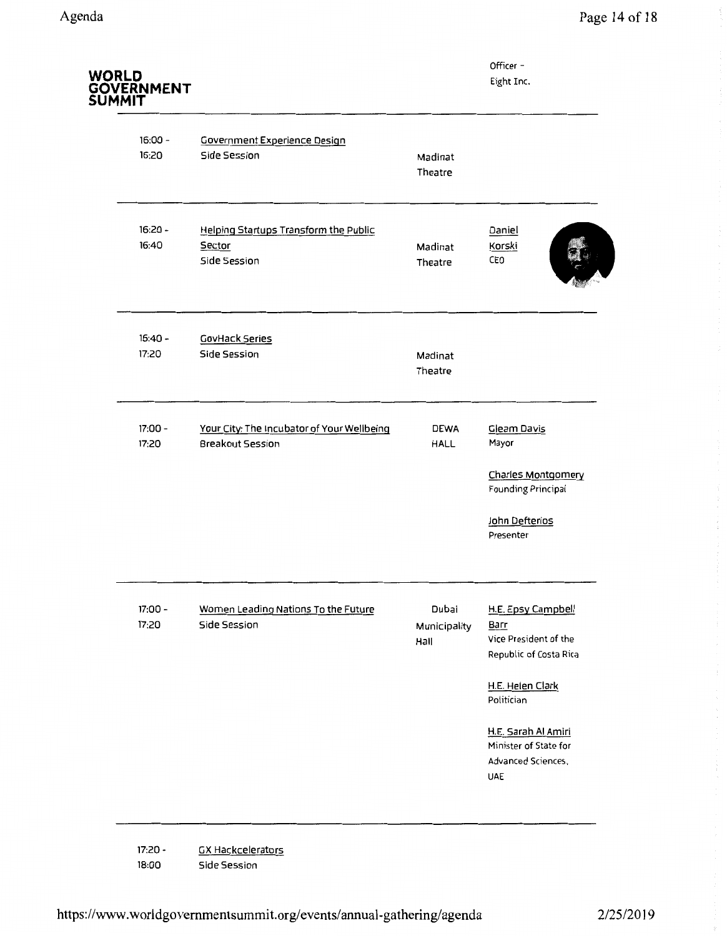| WORLD<br>GOVERNMENT<br>SUMMIT |                                                                 |                               | Officer -<br>Eight Inc.                                                                         |
|-------------------------------|-----------------------------------------------------------------|-------------------------------|-------------------------------------------------------------------------------------------------|
| $16:00 -$<br>16:20            | <b>Government Experience Design</b><br>Side Session             | Madinat<br>Theatre            |                                                                                                 |
| $16:20 -$<br>16:40            | Helping Startups Transform the Public<br>Sector<br>Side Session | Madinat<br>Theatre            | Daniel<br>Korski<br>CEO                                                                         |
| $16:40 -$<br>17:20            | <b>CovHack Series</b><br>Side Session                           | Madinat<br>Theatre            |                                                                                                 |
| 17:00 -<br>17:20              | Your City: The Incubator of Your Wellbeing<br>Breakout Session  | <b>DEWA</b><br><b>HALL</b>    | Gleam Davis<br>Mayor<br>Charles Montgomery<br>Founding Principal<br>John Defterios<br>Presenter |
| 17:00 -<br>17:20              | Women Leading Nations To the Future<br>Side Session             | Dubai<br>Municipality<br>Hall | H.E. Epsy Campbell<br><b>Barr</b><br>Vice President of the<br>Republic of Costa Rica            |

17:20- 18:00 GX Hackcelerators Side Session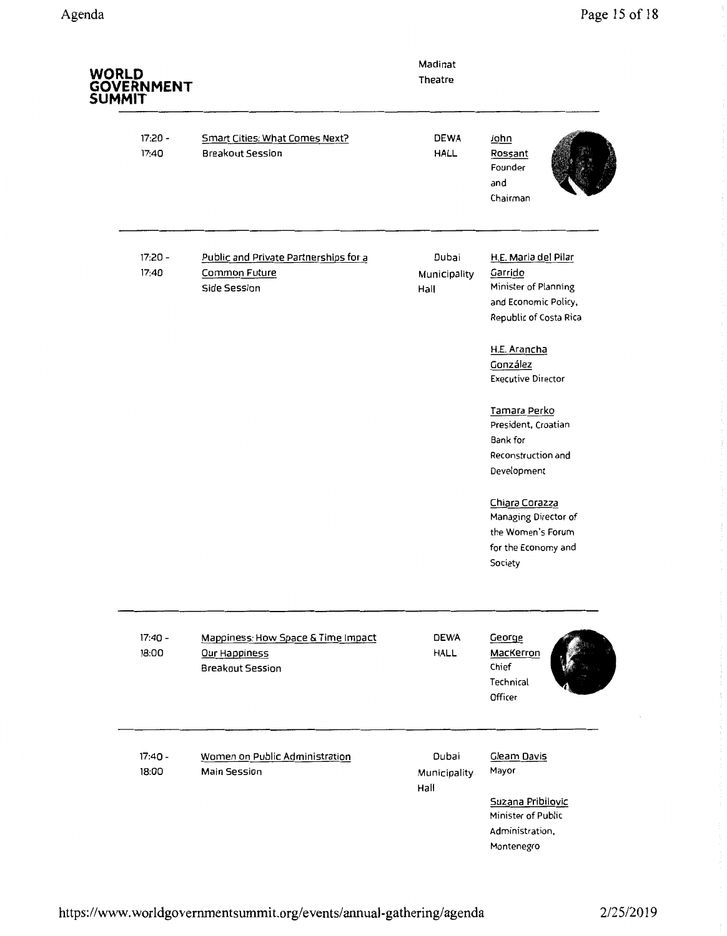| <b>WORLD</b><br><b>GOVERNMENT</b><br><b>SUMMIT</b> |                                                                                | Madinat<br>Theatre            |                                                                                                                               |
|----------------------------------------------------|--------------------------------------------------------------------------------|-------------------------------|-------------------------------------------------------------------------------------------------------------------------------|
| $17:20 -$<br>17:40                                 | Smart Cities: What Comes Next?<br><b>Breakout Session</b>                      | <b>DEWA</b><br><b>HALL</b>    | John<br>Rossant<br>Founder<br>and<br>Chairman                                                                                 |
| 17:20 -<br>17:40                                   | Public and Private Partnerships for a<br>Common Future<br>Side Session         | Dubai<br>Municipality<br>Hall | H.E. Maria del Pilar<br>Garrido<br>Minister of Planning<br>and Economic Policy,<br>Republic of Costa Rica<br>H.E. Arancha     |
|                                                    |                                                                                |                               | González<br><b>Executive Director</b><br>Tamara Perko<br>President, Croatian<br>Bank for<br>Reconstruction and<br>Development |
|                                                    |                                                                                |                               | Chiara Corazza<br>Managing Director of<br>the Women's Forum<br>for the Economy and<br>Society                                 |
| $17:40 -$<br>18:00                                 | Mappiness: How Space & Time Impact<br>Our Happiness<br><b>Breakout Session</b> | <b>DEWA</b><br><b>HALL</b>    | George<br>MacKerron<br>Chief<br>Technical<br>Officer                                                                          |
| $17:40 -$<br>18:00                                 | Women on Public Administration<br>Main Session                                 | Dubai<br>Municipality<br>Hall | Gleam Davis<br>Mayor<br>Suzana Pribilovic<br>Minister of Public<br>Administration,<br>Montenegro                              |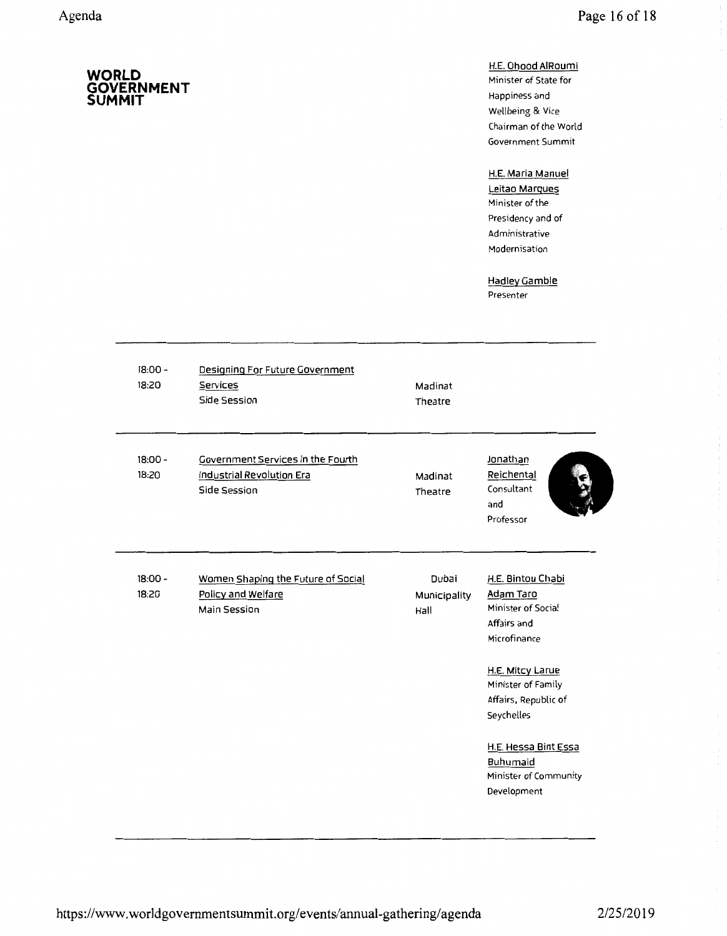**SUMMIT** 

**GOVERNMENT** 

## H.E. Ohood AIRoumi

Minister of State for Happiness and Wellbeing & Vice Chairman of the World Government Summit

## H.E. Maria Manuel

Leitao Marques Minister of the Presidency and of Administrative Modernisation

Hadley Gamble Presenter

| $18:00 -$<br>18:20 | Designing For Future Government<br>Services<br>Side Session                    | Madinat<br>Theatre            |                                                                                                                                                                                                                                                 |
|--------------------|--------------------------------------------------------------------------------|-------------------------------|-------------------------------------------------------------------------------------------------------------------------------------------------------------------------------------------------------------------------------------------------|
| $18:00 -$<br>18:20 | Government Services in the Fourth<br>Industrial Revolution Era<br>Side Session | Madinat<br>Theatre            | Jonathan<br>Reichental<br>Consultant<br>and<br>Professor                                                                                                                                                                                        |
| $18:00 -$<br>18:20 | Women Shaping the Future of Social<br>Policy and Welfare<br>Main Session       | Dubai<br>Municipality<br>Hall | H.E. Bintou Chabi<br>Adam Taro<br>Minister of Social<br>Affairs and<br>Microfinance<br>H.E. Mitcy Larue<br>Minister of Family<br>Affairs, Republic of<br>Seychelles<br>H.E. Hessa Bint Essa<br>Buhumaid<br>Minister of Community<br>Development |

# https://www.worldgovernmentsummit.org/events/annual-gathering/agenda 2/25/2019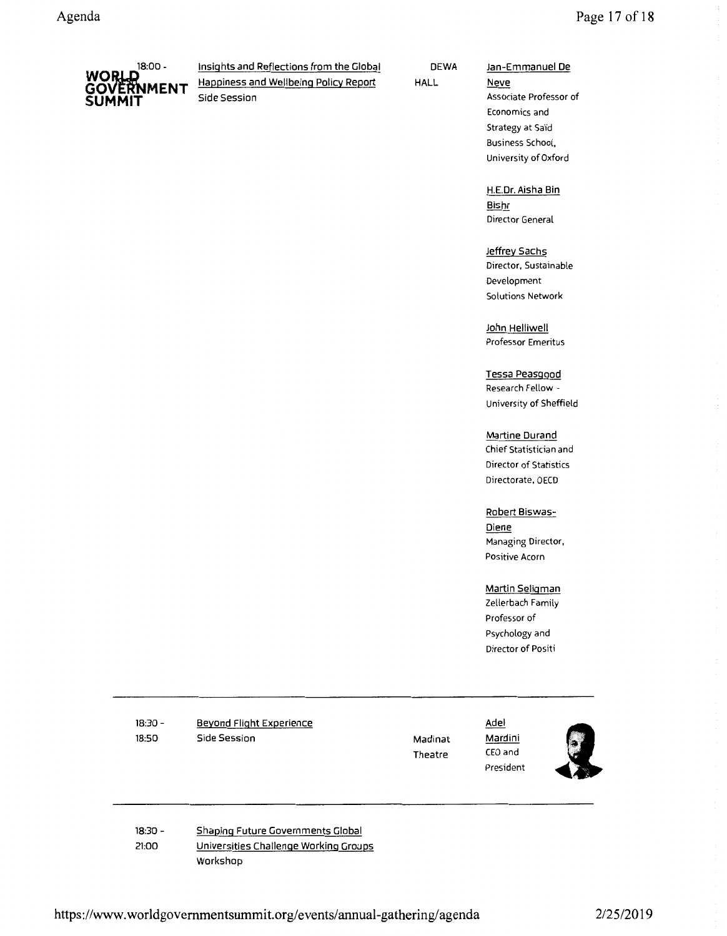

18:00 - Insights and Reflections from the Global WORLD<br>GOVERNMENT Happiness and Wellbeing Policy Report<br>SLIMMIT

DEWA HALL

### Jan-Emmanuel De

Neve Associate Professor of Economics and Strategy at Saïd Business School, University of Oxford

H.E.Dr. Aisha Bin Bishr Director General

Jeffrey Sachs Director, Sustainable Development Solutions Network

John Helliwell Professor Emeritus

Tessa Peasgood Research Fellow - University of Sheffield

Martine Durand Chief Statistician and Director of Statistics Directorate, OECD

Robert Biswas-Diene

Managing Director, Positive Acorn

#### Martin Seligman

Zellerbach Family Professor of Psychology and Director of Positi

18:30- 18:50

Beyond Flight Experience Side Session

Madinat Theatre

Adel Mardini CEO and President



18:30- 21:00 Shaping Future Governments Global Universities Challenge Working Groups Workshop